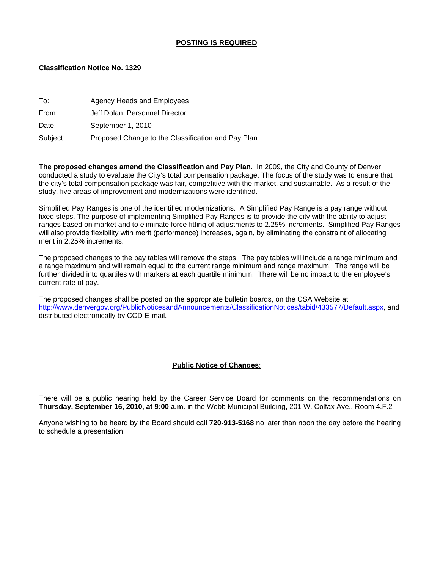### **POSTING IS REQUIRED**

### **Classification Notice No. 1329**

| To:      | Agency Heads and Employees                         |
|----------|----------------------------------------------------|
| From:    | Jeff Dolan, Personnel Director                     |
| Date:    | September 1, 2010                                  |
| Subject: | Proposed Change to the Classification and Pay Plan |

**The proposed changes amend the Classification and Pay Plan.** In 2009, the City and County of Denver conducted a study to evaluate the City's total compensation package. The focus of the study was to ensure that the city's total compensation package was fair, competitive with the market, and sustainable. As a result of the study, five areas of improvement and modernizations were identified.

Simplified Pay Ranges is one of the identified modernizations. A Simplified Pay Range is a pay range without fixed steps. The purpose of implementing Simplified Pay Ranges is to provide the city with the ability to adjust ranges based on market and to eliminate force fitting of adjustments to 2.25% increments. Simplified Pay Ranges will also provide flexibility with merit (performance) increases, again, by eliminating the constraint of allocating merit in 2.25% increments.

The proposed changes to the pay tables will remove the steps. The pay tables will include a range minimum and a range maximum and will remain equal to the current range minimum and range maximum. The range will be further divided into quartiles with markers at each quartile minimum. There will be no impact to the employee's current rate of pay.

The proposed changes shall be posted on the appropriate bulletin boards, on the CSA Website at [http://www.denvergov.org/PublicNoticesandAnnouncements/ClassificationNotices/tabid/433577/Default.aspx,](http://www.denvergov.org/PublicNoticesandAnnouncements/ClassificationNotices/tabid/433577/Default.aspx) and distributed electronically by CCD E-mail.

#### **Public Notice of Changes**:

There will be a public hearing held by the Career Service Board for comments on the recommendations on **Thursday, September 16, 2010, at 9:00 a.m**. in the Webb Municipal Building, 201 W. Colfax Ave., Room 4.F.2

Anyone wishing to be heard by the Board should call **720-913-5168** no later than noon the day before the hearing to schedule a presentation.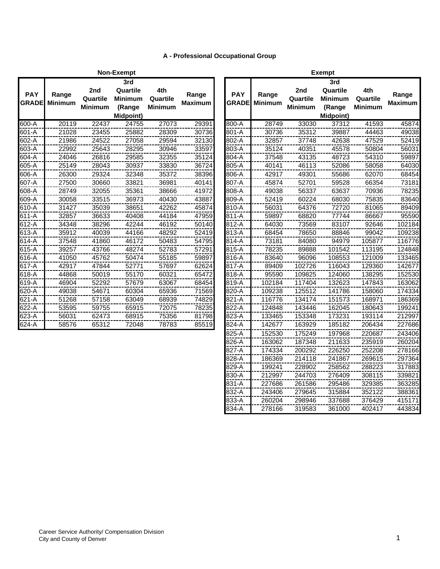# **A - Professional Occupational Group**

|                            |                         |                                   | Non-Exempt                                               |                                   |                         |                            |                         |                                   | <b>Exempt</b>                                        |
|----------------------------|-------------------------|-----------------------------------|----------------------------------------------------------|-----------------------------------|-------------------------|----------------------------|-------------------------|-----------------------------------|------------------------------------------------------|
| <b>PAY</b><br><b>GRADE</b> | Range<br><b>Minimum</b> | 2nd<br>Quartile<br><b>Minimum</b> | 3rd<br>Quartile<br><b>Minimum</b><br>(Range<br>Midpoint) | 4th<br>Quartile<br><b>Minimum</b> | Range<br><b>Maximum</b> | <b>PAY</b><br><b>GRADE</b> | Range<br><b>Minimum</b> | 2nd<br>Quartile<br><b>Minimum</b> | 3 <sub>l</sub><br>Qua<br>Miniı<br>(Ra<br><b>Midp</b> |
| 600-A                      | 20119                   | 22437                             | 24755                                                    | 27073                             | 29391                   | 800-A                      | 28749                   | 33030                             |                                                      |
| 601-A                      | 21028                   | 23455                             | 25882                                                    | 28309                             | 30736                   | 801-A                      | 30736                   | 35312                             |                                                      |
| 602-A                      | 21986                   | 24522                             | 27058                                                    | 29594                             | 32130                   | 802-A                      | 32857                   | 37748                             | 4                                                    |
| 603-A                      | 22992                   | 25643                             | 28295                                                    | 30946                             | 33597                   | 803-A                      | 35124                   | 40351                             | 4                                                    |
| 604-A                      | 24046                   | 26816                             | 29585                                                    | 32355                             | 35124                   | 804-A                      | 37548                   | 43135                             | 4                                                    |
| 605-A                      | 25149                   | 28043                             | 30937                                                    | 33830                             | 36724                   | 805-A                      | 40141                   | 46113                             | 5                                                    |
| 606-A                      | 26300                   | 29324                             | 32348                                                    | 35372                             | 38396                   | 806-A                      | 42917                   | 49301                             | 5                                                    |
| 607-A                      | 27500                   | 30660                             | 33821                                                    | 36981                             | 40141                   | 807-A                      | 45874                   | 52701                             | 5                                                    |
| 608-A                      | 28749                   | 32055                             | 35361                                                    | 38666                             | 41972                   | 808-A                      | 49038                   | 56337                             | 6                                                    |
| 609-A                      | 30058                   | 33515                             | 36973                                                    | 40430                             | 43887                   | 809-A                      | 52419                   | 60224                             | 6                                                    |
| 610-A                      | 31427                   | 35039                             | 38651                                                    | 42262                             | 45874                   | 810-A                      | 56031                   | 64376                             |                                                      |
| 611-A                      | 32857                   | 36633                             | 40408                                                    | 44184                             | 47959                   | 811-A                      | 59897                   | 68820                             | 7                                                    |
| 612-A                      | 34348                   | 38296                             | 42244                                                    | 46192                             | 50140                   | 812-A                      | 64030                   | 73569                             | 8                                                    |
| 613-A                      | 35912                   | 40039                             | 44166                                                    | 48292                             | 52419                   | 813-A                      | 68454                   | 78650                             | 8                                                    |
| 614-A                      | 37548                   | 41860                             | 46172                                                    | 50483                             | 54795                   | 814-A                      | 73181                   | 84080                             | g                                                    |
| 615-A                      | 39257                   | 43766                             | 48274                                                    | 52783                             | 57291                   | 815-A                      | 78235                   | 89888                             | 10                                                   |
| 616-A                      | 41050                   | 45762                             | 50474                                                    | 55185                             | 59897                   | 816-A                      | 83640                   | 96096                             | 10                                                   |
| 617-A                      | 42917                   | 47844                             | 52771                                                    | 57697                             | 62624                   | 817-A                      | 89409                   | 102726                            | 11                                                   |
| 618-A                      | 44868                   | 50019                             | 55170                                                    | 60321                             | 65472                   | 818-A                      | 95590                   | 109825                            | 12                                                   |
| 619-A                      | 46904                   | 52292                             | 57679                                                    | 63067                             | 68454                   | 819-A                      | 102184                  | 117404                            | 13                                                   |
| 620-A                      | 49038                   | 54671                             | 60304                                                    | 65936                             | 71569                   | 820-A                      | 109238                  | 125512                            | 14                                                   |
| 621-A                      | 51268                   | 57158                             | 63049                                                    | 68939                             | 74829                   | 821-A                      | 116776                  | 134174                            | 15                                                   |
| 622-A                      | 53595                   | 59755                             | 65915                                                    | 72075                             | 78235                   | 822-A                      | 124848                  | 143446                            | 16                                                   |
| 623-A                      | 56031                   | 62473                             | 68915                                                    | 75356                             | 81798                   | 823-A                      | 133465                  | 153348                            | $\overline{17}$                                      |
| 624-A                      | 58576                   | 65312                             | 72048                                                    | 78783                             | 85519                   | 824-A                      | 142677                  | 163929                            | 18                                                   |
|                            |                         |                                   |                                                          |                                   |                         |                            |                         |                                   |                                                      |

|              |                |                | Non-Exempt     |                |                         | <b>Exempt</b> |                         |          |                  |                |                         |  |
|--------------|----------------|----------------|----------------|----------------|-------------------------|---------------|-------------------------|----------|------------------|----------------|-------------------------|--|
|              |                |                | 3rd            |                |                         |               |                         |          | 3rd              |                |                         |  |
| <b>PAY</b>   | Range          | 2nd            | Quartile       | 4th            |                         | <b>PAY</b>    |                         | 2nd      | Quartile         | 4th            |                         |  |
| <b>GRADE</b> | <b>Minimum</b> | Quartile       | <b>Minimum</b> | Quartile       | Range<br><b>Maximum</b> | <b>GRADE</b>  | Range<br><b>Minimum</b> | Quartile | <b>Minimum</b>   | Quartile       | Range<br><b>Maximum</b> |  |
|              |                | <b>Minimum</b> | (Range         | <b>Minimum</b> |                         |               |                         | Minimum  | (Range           | <b>Minimum</b> |                         |  |
|              |                |                | Midpoint)      |                |                         |               |                         |          | <b>Midpoint)</b> |                |                         |  |
| 600-A        | 20119          | 22437          | 24755          | 27073          | 29391                   | 800-A         | 28749                   | 33030    | 37312            | 41593          | 45874                   |  |
| $601-A$      | 21028          | 23455          | 25882          | 28309          | 30736                   | $801 - A$     | 30736                   | 35312    | 39887            | 44463          | 49038                   |  |
| 602-A        | 21986          | 24522          | 27058          | 29594          | 32130                   | 802-A         | 32857                   | 37748    | 42638            | 47529          | 52419                   |  |
| 603-A        | 22992          | 25643          | 28295          | 30946          | 33597                   | 803-A         | 35124                   | 40351    | 45578            | 50804          | 56031                   |  |
| 604-A        | 24046          | 26816          | 29585          | 32355          | 35124                   | 804-A         | 37548                   | 43135    | 48723            | 54310          | 59897                   |  |
| 605-A        | 25149          | 28043          | 30937          | 33830          | 36724                   | 805-A         | 40141                   | 46113    | 52086            | 58058          | 64030                   |  |
| 606-A        | 26300          | 29324          | 32348          | 35372          | 38396                   | 806-A         | 42917                   | 49301    | 55686            | 62070          | 68454                   |  |
| 607-A        | 27500          | 30660          | 33821          | 36981          | 40141                   | 807-A         | 45874                   | 52701    | 59528            | 66354          | 73181                   |  |
| 608-A        | 28749          | 32055          | 35361          | 38666          | 41972                   | 808-A         | 49038                   | 56337    | 63637            | 70936          | 78235                   |  |
| 609-A        | 30058          | 33515          | 36973          | 40430          | 43887                   | 809-A         | 52419                   | 60224    | 68030            | 75835          | 83640                   |  |
| 610-A        | 31427          | 35039          | 38651          | 42262          | 45874                   | 810-A         | 56031                   | 64376    | 72720            | 81065          | 89409                   |  |
| 611-A        | 32857          | 36633          | 40408          | 44184          | 47959                   | 811-A         | 59897                   | 68820    | 77744            | 86667          | 95590                   |  |
| 612-A        | 34348          | 38296          | 42244          | 46192          | 50140                   | 812-A         | 64030                   | 73569    | 83107            | 92646          | 102184                  |  |
| 613-A        | 35912          | 40039          | 44166          | 48292          | 52419                   | 813-A         | 68454                   | 78650    | 88846            | 99042          | 109238                  |  |
| 614-A        | 37548          | 41860          | 46172          | 50483          | 54795                   | 814-A         | 73181                   | 84080    | 94979            | 105877         | 116776                  |  |
| 615-A        | 39257          | 43766          | 48274          | 52783          | 57291                   | 815-A         | 78235                   | 89888    | 101542           | 113195         | 124848                  |  |
| 616-A        | 41050          | 45762          | 50474          | 55185          | 59897                   | 816-A         | 83640                   | 96096    | 108553           | 121009         | 133465                  |  |
| 617-A        | 42917          | 47844          | 52771          | 57697          | 62624                   | 817-A         | 89409                   | 102726   | 116043           | 129360         | 142677                  |  |
| 618-A        | 44868          | 50019          | 55170          | 60321          | 65472                   | 818-A         | 95590                   | 109825   | 124060           | 138295         | 152530                  |  |
| 619-A        | 46904          | 52292          | 57679          | 63067          | 68454                   | 819-A         | 102184                  | 117404   | 132623           | 147843         | 163062                  |  |
| 620-A        | 49038          | 54671          | 60304          | 65936          | 71569                   | 820-A         | 109238                  | 125512   | 141786           | 158060         | 174334                  |  |
| 621-A        | 51268          | 57158          | 63049          | 68939          | 74829                   | 821-A         | 116776                  | 134174   | 151573           | 168971         | 186369                  |  |
| 622-A        | 53595          | 59755          | 65915          | 72075          | 78235                   | 822-A         | 124848                  | 143446   | 162045           | 180643         | 199241                  |  |
| $623 - A$    | 56031          | 62473          | 68915          | 75356          | 81798                   | 823-A         | 133465                  | 153348   | 173231           | 193114         | 212997                  |  |
| $624 - A$    | 58576          | 65312          | 72048          | 78783          | 85519                   | $824-A$       | 142677                  | 163929   | 185182           | 206434         | 227686                  |  |
|              |                |                |                |                |                         | 825-A         | 152530                  | 175249   | 197968           | 220687         | 243406                  |  |
|              |                |                |                |                |                         | $826-A$       | 163062                  | 187348   | 211633           | 235919         | 260204                  |  |
|              |                |                |                |                |                         | 827-A         | 174334                  | 200292   | 226250           | 252208         | 278166                  |  |
|              |                |                |                |                |                         | 828-A         | 186369                  | 214118   | 241867           | 269615         | 297364                  |  |
|              |                |                |                |                |                         | 829-A         | 199241                  | 228902   | 258562           | 288223         | 317883                  |  |
|              |                |                |                |                |                         | 830-A         | 212997                  | 244703   | 276409           | 308115         | 339821                  |  |
|              |                |                |                |                |                         | 831-A         | 227686                  | 261586   | 295486           | 329385         | 363285                  |  |
|              |                |                |                |                |                         | 832-A         | 243406                  | 279645   | 315884           | 352122         | 388361                  |  |
|              |                |                |                |                |                         | 833-A         | 260204                  | 298946   | 337688           | 376429         | 415171                  |  |
|              |                |                |                |                |                         | 834-A         | 278166                  | 319583   | 361000           | 402417         | 443834                  |  |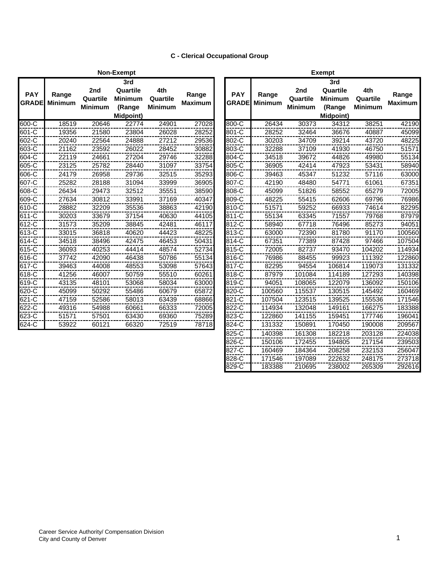# **C - Clerical Occupational Group**

|                            |                         |                                   | Non-Exempt                                                      |                                   |                         |                            |                         |                                   | <b>Exempt</b>                                                   |                                   |                         |
|----------------------------|-------------------------|-----------------------------------|-----------------------------------------------------------------|-----------------------------------|-------------------------|----------------------------|-------------------------|-----------------------------------|-----------------------------------------------------------------|-----------------------------------|-------------------------|
| <b>PAY</b><br><b>GRADE</b> | Range<br><b>Minimum</b> | 2nd<br>Quartile<br><b>Minimum</b> | 3rd<br>Quartile<br><b>Minimum</b><br>(Range<br><b>Midpoint)</b> | 4th<br>Quartile<br><b>Minimum</b> | Range<br><b>Maximum</b> | <b>PAY</b><br><b>GRADE</b> | Range<br><b>Minimum</b> | 2nd<br>Quartile<br><b>Minimum</b> | 3rd<br>Quartile<br><b>Minimum</b><br>(Range<br><b>Midpoint)</b> | 4th<br>Quartile<br><b>Minimum</b> | Range<br><b>Maximum</b> |
| 600-C                      | 18519                   | 20646                             | 22774                                                           | 24901                             | 27028                   | 800-C                      | 26434                   | 30373                             | 34312                                                           | 38251                             | 42190                   |
| 601-C                      | 19356                   | 21580                             | 23804                                                           | 26028                             | 28252                   | 801-C                      | 28252                   | 32464                             | 36676                                                           | 40887                             | 45099                   |
| 602-C                      | 20240                   | 22564                             | 24888                                                           | 27212                             | 29536                   | 802-C                      | 30203                   | 34709                             | 39214                                                           | 43720                             | 48225                   |
| 603-C                      | 21162                   | 23592                             | 26022                                                           | 28452                             | 30882                   | 803-C                      | 32288                   | 37109                             | 41930                                                           | 46750                             | 51571                   |
| 604-C                      | 22119                   | 24661                             | 27204                                                           | 29746                             | 32288                   | 804-C                      | 34518                   | 39672                             | 44826                                                           | 49980                             | 55134                   |
| 605-C                      | 23125                   | 25782                             | 28440                                                           | 31097                             | 33754                   | 805-C                      | 36905                   | 42414                             | 47923                                                           | 53431                             | 58940                   |
| 606-C                      | 24179                   | 26958                             | 29736                                                           | 32515                             | 35293                   | 806-C                      | 39463                   | 45347                             | 51232                                                           | 57116                             | 63000                   |
| 607-C                      | 25282                   | 28188                             | 31094                                                           | 33999                             | 36905                   | 807-C                      | 42190                   | 48480                             | 54771                                                           | 61061                             | 67351                   |
| $608 - C$                  | 26434                   | 29473                             | 32512                                                           | 35551                             | 38590                   | 808-C                      | 45099                   | 51826                             | 58552                                                           | 65279                             | 72005                   |
| 609-C                      | 27634                   | 30812                             | 33991                                                           | 37169                             | 40347                   | 809-C                      | 48225                   | 55415                             | 62606                                                           | 69796                             | 76986                   |
| 610-C                      | 28882                   | 32209                             | 35536                                                           | 38863                             | 42190                   | 810-C                      | 51571                   | 59252                             | 66933                                                           | 74614                             | 82295                   |
| 611-C                      | 30203                   | 33679                             | 37154                                                           | 40630                             | 44105                   | 811-C                      | 55134                   | 63345                             | 71557                                                           | 79768                             | 87979                   |
| 612-C                      | 31573                   | 35209                             | 38845                                                           | 42481                             | 46117                   | 812-C                      | 58940                   | 67718                             | 76496                                                           | 85273                             | 94051                   |
| 613-C                      | 33015                   | 36818                             | 40620                                                           | 44423                             | 48225                   | 813-C                      | 63000                   | 72390                             | 81780                                                           | 91170                             | 100560                  |
| 614-C                      | 34518                   | 38496                             | 42475                                                           | 46453                             | 50431                   | 814-C                      | 67351                   | 77389                             | 87428                                                           | 97466                             | 107504                  |
| 615-C                      | 36093                   | 40253                             | 44414                                                           | 48574                             | 52734                   | 815-C                      | 72005                   | 82737                             | 93470                                                           | 104202                            | 114934                  |
| 616-C                      | 37742                   | 42090                             | 46438                                                           | 50786                             | 55134                   | 816-C                      | 76986                   | 88455                             | 99923                                                           | 111392                            | 122860                  |
| 617-C                      | 39463                   | 44008                             | 48553                                                           | 53098                             | 57643                   | 817-C                      | 82295                   | 94554                             | 106814                                                          | 119073                            | 131332                  |
| 618-C                      | 41256                   | 46007                             | 50759                                                           | 55510                             | 60261                   | 818-C                      | 87979                   | 101084                            | 114189                                                          | 127293                            | 140398                  |
| 619-C                      | 43135                   | 48101                             | 53068                                                           | 58034                             | 63000                   | 819-C                      | 94051                   | 108065                            | 122079                                                          | 136092                            | 150106                  |
| 620-C                      | 45099                   | 50292                             | 55486                                                           | 60679                             | 65872                   | 820-C                      | 100560                  | 115537                            | 130515                                                          | 145492                            | 160469                  |
| 621-C                      | 47159                   | 52586                             | 58013                                                           | 63439                             | 68866                   | 821-C                      | 107504                  | 123515                            | 139525                                                          | 155536                            | 171546                  |
| 622-C                      | 49316                   | 54988                             | 60661                                                           | 66333                             | 72005                   | 822-C                      | 114934                  | 132048                            | 149161                                                          | 166275                            | 183388                  |
| 623-C                      | 51571                   | 57501                             | 63430                                                           | 69360                             | 75289                   | 823-C                      | 122860                  | 141155                            | 159451                                                          | 177746                            | 196041                  |
| $624-C$                    | 53922                   | 60121                             | 66320                                                           | 72519                             | 78718                   | 824-C                      | 131332                  | 150891                            | 170450                                                          | 190008                            | 209567                  |
|                            |                         |                                   |                                                                 |                                   |                         |                            |                         |                                   |                                                                 |                                   |                         |

|              |                |                | <b>Exempt</b>    |                |                |
|--------------|----------------|----------------|------------------|----------------|----------------|
|              |                |                | 3rd              |                |                |
| <b>PAY</b>   |                | 2nd            | Quartile         | 4th            |                |
|              | Range          | Quartile       | <b>Minimum</b>   | Quartile       | Range          |
| <b>GRADE</b> | <b>Minimum</b> | <b>Minimum</b> | (Range           | <b>Minimum</b> | <b>Maximum</b> |
|              |                |                | <b>Midpoint)</b> |                |                |
| 800-C        | 26434          | 30373          | 34312            | 38251          | 42190          |
| 801-C        | 28252          | 32464          | 36676            | 40887          | 45099          |
| 802-C        | 30203          | 34709          | 39214            | 43720          | 48225          |
| 803-C        | 32288          | 37109          | 41930            | 46750          | 51571          |
| 804-C        | 34518          | 39672          | 44826            | 49980          | 55134          |
| 805-C        | 36905          | 42414          | 47923            | 53431          | 58940          |
| 806-C        | 39463          | 45347          | 51232            | 57116          | 63000          |
| 807-C        | 42190          | 48480          | 54771            | 61061          | 67351          |
| 808-C        | 45099          | 51826          | 58552            | 65279          | 72005          |
| 809-C        | 48225          | 55415          | 62606            | 69796          | 76986          |
| 810-C        | 51571          | 59252          | 66933            | 74614          | 82295          |
| 811-C        | 55134          | 63345          | 71557            | 79768          | 87979          |
| 812-C        | 58940          | 67718          | 76496            | 85273          | 94051          |
| 813-C        | 63000          | 72390          | 81780            | 91170          | 100560         |
| 814-C        | 67351          | 77389          | 87428            | 97466          | 107504         |
| 815-C        | 72005          | 82737          | 93470            | 104202         | 114934         |
| 816-C        | 76986          | 88455          | 99923            | 111392         | 122860         |
| 817-C        | 82295          | 94554          | 106814           | 119073         | 131332         |
| 818-C        | 87979          | 101084         | 114189           | 127293         | 140398         |
| 819-C        | 94051          | 108065         | 122079           | 136092         | 150106         |
| 820-C        | 100560         | 115537         | 130515           | 145492         | 160469         |
| 821-C        | 107504         | 123515         | 139525           | 155536         | 171546         |
| 822-C        | 114934         | 132048         | 149161           | 166275         | 183388         |
| 823-C        | 122860         | 141155         | 159451           | 177746         | 196041         |
| 824-C        | 131332         | 150891         | 170450           | 190008         | 209567         |
| 825-C        | 140398         | 161308         | 182218           | 203128         | 224038         |
| $826-C$      | 150106         | 172455         | 194805           | 217154         | 239503         |
| $827 - C$    | 160469         | 184364         | 208258           | 232153         | 256047         |
| 828-C        | 171546         | 197089         | 222632           | 248175         | 273718         |
| 829-C        | 183388         | 210695         | 238002           | 265309         | 292616         |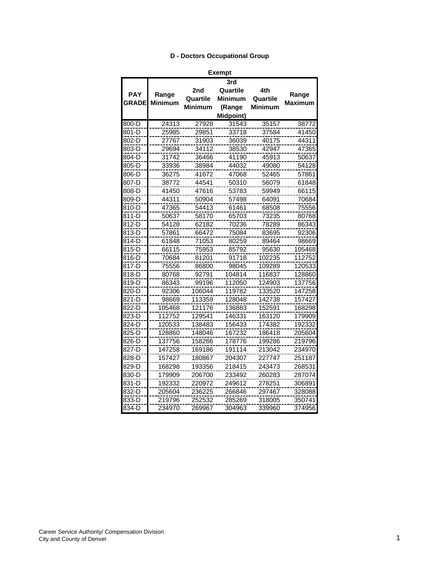### **D - Doctors Occupational Group**

| חו<br>I<br>п |
|--------------|
|--------------|

|              |                |                | 3rd              |                |                |
|--------------|----------------|----------------|------------------|----------------|----------------|
|              |                | 2nd            | Quartile         | 4th            |                |
| <b>PAY</b>   | Range          | Quartile       | <b>Minimum</b>   | Quartile       | Range          |
| <b>GRADE</b> | <b>Minimum</b> | <b>Minimum</b> | (Range           | <b>Minimum</b> | <b>Maximum</b> |
|              |                |                | <b>Midpoint)</b> |                |                |
| 800-D        | 24313          | 27928          | 31543            | 35157          | 38772          |
| 801-D        | 25985          | 29851          | 33718            | 37584          | 41450          |
| 802-D        | 27767          | 31903          | 36039            | 40175          | 44311          |
| 803-D        | 29694          | 34112          | 38530            | 42947          | 47365          |
| 804-D        | 31742          | 36466          | 41190            | 45913          | 50637          |
| 805-D        | 33936          | 38984          | 44032            | 49080          | 54128          |
| 806-D        | 36275          | 41672          | 47068            | 52465          | 57861          |
| 807-D        | 38772          | 44541          | 50310            | 56079          | 61848          |
| 808-D        | 41450          | 47616          | 53783            | 59949          | 66115          |
| 809-D        | 44311          | 50904          | 57498            | 64091          | 70684          |
| 810-D        | 47365          | 54413          | 61461            | 68508          | 75556          |
| 811-D        | 50637          | 58170          | 65703            | 73235          | 80768          |
| 812-D        | 54128          | 62182          | 70236            | 78289          | 86343          |
| 813-D        | 57861          | 66472          | 75084            | 83695          | 92306          |
| 814-D        | 61848          | 71053          | 80259            | 89464          | 98669          |
| 815-D        | 66115          | 75953          | 85792            | 95630          | 105468         |
| 816-D        | 70684          | 81201          | 91718            | 102235         | 112752         |
| 817-D        | 75556          | 86800          | 98045            | 109289         | 120533         |
| 818-D        | 80768          | 92791          | 104814           | 116837         | 128860         |
| 819-D        | 86343          | 99196          | 112050           | 124903         | 137756         |
| 820-D        | 92306          | 106044         | 119782           | 133520         | 147258         |
| 821-D        | 98669          | 113359         | 128048           | 142738         | 157427         |
| 822-D        | 105468         | 121176         | 136883           | 152591         | 168298         |
| $823 - D$    | 112752         | 129541         | 146331           | 163120         | 179909         |
| $824-D$      | 120533         | 138483         | 156433           | 174382         | 192332         |
| 825-D        | 128860         | 148046         | 167232           | 186418         | 205604         |
| 826-D        | 137756         | 158266         | 178776           | 199286         | 219796         |
| 827-D        | 147258         | 169186         | 191114           | 213042         | 234970         |
| 828-D        | 157427         | 180867         | 204307           | 227747         | 251187         |
| 829-D        | 168298         | 193356         | 218415           | 243473         | 268531         |
| 830-D        | 179909         | 206700         | 233492           | 260283         | 287074         |
| 831-D        | 192332         | 220972         | 249612           | 278251         | 306891         |
| 832-D        | 205604         | 236225         | 266846           | 297467         | 328088         |
| 833-D        | 219796         | 252532         | 285269           | 318005         | 350741         |
| 834-D        | 234970         | 269967         | 304963           | 339960         | 374956         |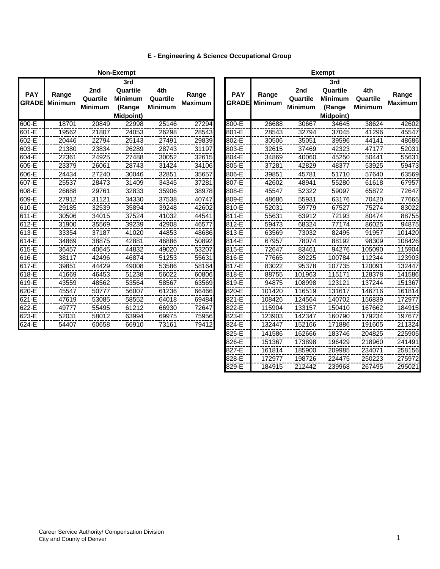# **E - Engineering & Science Occupational Group**

|                            |                         |                                   | Non-Exempt                                               |                                   |                         |                            |                         |                                   | <b>Exempt</b>                                            |                                   |                         |
|----------------------------|-------------------------|-----------------------------------|----------------------------------------------------------|-----------------------------------|-------------------------|----------------------------|-------------------------|-----------------------------------|----------------------------------------------------------|-----------------------------------|-------------------------|
| <b>PAY</b><br><b>GRADE</b> | Range<br><b>Minimum</b> | 2nd<br>Quartile<br><b>Minimum</b> | 3rd<br>Quartile<br><b>Minimum</b><br>(Range<br>Midpoint) | 4th<br>Quartile<br><b>Minimum</b> | Range<br><b>Maximum</b> | <b>PAY</b><br><b>GRADE</b> | Range<br><b>Minimum</b> | 2nd<br>Quartile<br><b>Minimum</b> | 3rd<br>Quartile<br><b>Minimum</b><br>(Range<br>Midpoint) | 4th<br>Quartile<br><b>Minimum</b> | Range<br><b>Maximum</b> |
| 600-E                      | 18701                   | 20849                             | 22998                                                    | 25146                             | 27294                   | 800-E                      | 26688                   | 30667                             | 34645                                                    | 38624                             | 42602                   |
| 601-E                      | 19562                   | 21807                             | 24053                                                    | 26298                             | 28543                   | 801-E                      | 28543                   | 32794                             | 37045                                                    | 41296                             | 45547                   |
| 602-E                      | 20446                   | 22794                             | 25143                                                    | 27491                             | 29839                   | 802-E                      | 30506                   | 35051                             | 39596                                                    | 44141                             | 48686                   |
| 603-E                      | 21380                   | 23834                             | 26289                                                    | 28743                             | 31197                   | 803-E                      | 32615                   | 37469                             | 42323                                                    | 47177                             | 52031                   |
| 604-E                      | 22361                   | 24925                             | 27488                                                    | 30052                             | 32615                   | 804-E                      | 34869                   | 40060                             | 45250                                                    | 50441                             | 55631                   |
| 605-E                      | 23379                   | 26061                             | 28743                                                    | 31424                             | 34106                   | 805-E                      | 37281                   | 42829                             | 48377                                                    | 53925                             | 59473                   |
| 606-E                      | 24434                   | 27240                             | 30046                                                    | 32851                             | 35657                   | 806-E                      | 39851                   | 45781                             | 51710                                                    | 57640                             | 63569                   |
| 607-E                      | 25537                   | 28473                             | 31409                                                    | 34345                             | 37281                   | 807-E                      | 42602                   | 48941                             | 55280                                                    | 61618                             | 67957                   |
| 608-E                      | 26688                   | 29761                             | 32833                                                    | 35906                             | 38978                   | 808-E                      | 45547                   | 52322                             | 59097                                                    | 65872                             | 72647                   |
| 609-E                      | 27912                   | 31121                             | 34330                                                    | 37538                             | 40747                   | 809-E                      | 48686                   | 55931                             | 63176                                                    | 70420                             | 77665                   |
| 610-E                      | 29185                   | 32539                             | 35894                                                    | 39248                             | 42602                   | 810-E                      | 52031                   | 59779                             | 67527                                                    | 75274                             | 83022                   |
| 611-E                      | 30506                   | 34015                             | 37524                                                    | 41032                             | 44541                   | 811-E                      | 55631                   | 63912                             | 72193                                                    | 80474                             | 88755                   |
| 612-E                      | 31900                   | 35569                             | 39239                                                    | 42908                             | 46577                   | 812-E                      | 59473                   | 68324                             | 77174                                                    | 86025                             | 94875                   |
| 613-E                      | 33354                   | 37187                             | 41020                                                    | 44853                             | 48686                   | 813-E                      | 63569                   | 73032                             | 82495                                                    | 91957                             | 101420                  |
| 614-E                      | 34869                   | 38875                             | 42881                                                    | 46886                             | 50892                   | 814-E                      | 67957                   | 78074                             | 88192                                                    | 98309                             | 108426                  |
| 615-E                      | 36457                   | 40645                             | 44832                                                    | 49020                             | 53207                   | 815-E                      | 72647                   | 83461                             | 94276                                                    | 105090                            | 115904                  |
| 616-E                      | 38117                   | 42496                             | 46874                                                    | 51253                             | 55631                   | 816-E                      | 77665                   | 89225                             | 100784                                                   | 112344                            | 123903                  |
| 617-E                      | 39851                   | 44429                             | 49008                                                    | 53586                             | 58164                   | 817-E                      | 83022                   | 95378                             | 107735                                                   | 120091                            | 132447                  |
| 618-E                      | 41669                   | 46453                             | 51238                                                    | 56022                             | 60806                   | 818-E                      | 88755                   | 101963                            | 115171                                                   | 128378                            | 141586                  |
| 619-E                      | 43559                   | 48562                             | 53564                                                    | 58567                             | 63569                   | 819-E                      | 94875                   | 108998                            | 123121                                                   | 137244                            | 151367                  |
| 620-E                      | 45547                   | 50777                             | 56007                                                    | 61236                             | 66466                   | 820-E                      | 101420                  | 116519                            | 131617                                                   | 146716                            | 161814                  |
| 621-E                      | 47619                   | 53085                             | 58552                                                    | 64018                             | 69484                   | 821-E                      | 108426                  | 124564                            | 140702                                                   | 156839                            | 172977                  |
| 622-E                      | 49777                   | 55495                             | 61212                                                    | 66930                             | 72647                   | 822-E                      | 115904                  | 133157                            | 150410                                                   | 167662                            | 184915                  |
| 623-E                      | 52031                   | 58012                             | 63994                                                    | 69975                             | 75956                   | 823-E                      | 123903                  | 142347                            | 160790                                                   | 179234                            | 197677                  |
| $624 - E$                  | 54407                   | 60658                             | 66910                                                    | 73161                             | 79412                   | 824-E                      | 132447                  | 152166                            | 171886                                                   | 191605                            | 211324                  |
|                            |                         |                                   |                                                          |                                   |                         |                            |                         |                                   |                                                          |                                   |                         |

|              |                |                | Exempt           |                |                |
|--------------|----------------|----------------|------------------|----------------|----------------|
|              |                |                | 3rd              |                |                |
| <b>PAY</b>   | Range          | 2nd            | Quartile         | 4th            | Range          |
| <b>GRADE</b> | <b>Minimum</b> | Quartile       | <b>Minimum</b>   | Quartile       | <b>Maximum</b> |
|              |                | <b>Minimum</b> | (Range           | <b>Minimum</b> |                |
|              |                |                | <b>Midpoint)</b> |                |                |
| 800-E        | 26688          | 30667          | 34645            | 38624          | 42602          |
| 801-E        | 28543          | 32794          | 37045            | 41296          | 45547          |
| 802-E        | 30506          | 35051          | 39596            | 44141          | 48686          |
| 803-E        | 32615          | 37469          | 42323            | 47177          | 52031          |
| 804-E        | 34869          | 40060          | 45250            | 50441          | 55631          |
| 805-E        | 37281          | 42829          | 48377            | 53925          | 59473          |
| 806-E        | 39851          | 45781          | 51710            | 57640          | 63569          |
| 807-E        | 42602          | 48941          | 55280            | 61618          | 67957          |
| 808-E        | 45547          | 52322          | 59097            | 65872          | 72647          |
| 809-E        | 48686          | 55931          | 63176            | 70420          | 77665          |
| 810-E        | 52031          | 59779          | 67527            | 75274          | 83022          |
| 811-E        | 55631          | 63912          | 72193            | 80474          | 88755          |
| 812-E        | 59473          | 68324          | 77174            | 86025          | 94875          |
| 813-E        | 63569          | 73032          | 82495            | 91957          | 101420         |
| 814-E        | 67957          | 78074          | 88192            | 98309          | 108426         |
| 815-E        | 72647          | 83461          | 94276            | 105090         | 115904         |
| 816-E        | 77665          | 89225          | 100784           | 112344         | 123903         |
| 817-E        | 83022          | 95378          | 107735           | 120091         | 132447         |
| 818-E        | 88755          | 101963         | 115171           | 128378         | 141586         |
| 819-E        | 94875          | 108998         | 123121           | 137244         | 151367         |
| 820-E        | 101420         | 116519         | 131617           | 146716         | 161814         |
| 821-E        | 108426         | 124564         | 140702           | 156839         | 172977         |
| 822-E        | 115904         | 133157         | 150410           | 167662         | 184915         |
| 823-E        | 123903         | 142347         | 160790           | 179234         | 197677         |
| 824-E        | 132447         | 152166         | 171886           | 191605         | 211324         |
| 825-E        | 141586         | 162666         | 183746           | 204825         | 225905         |
| 826-E        | 151367         | 173898         | 196429           | 218960         | 241491         |
| 827-E        | 161814         | 185900         | 209985           | 234071         | 258156         |
| 828-E        | 172977         | 198726         | 224475           | 250223         | 275972         |
| 829-E        | 184915         | 212442         | 239968           | 267495         | 295021         |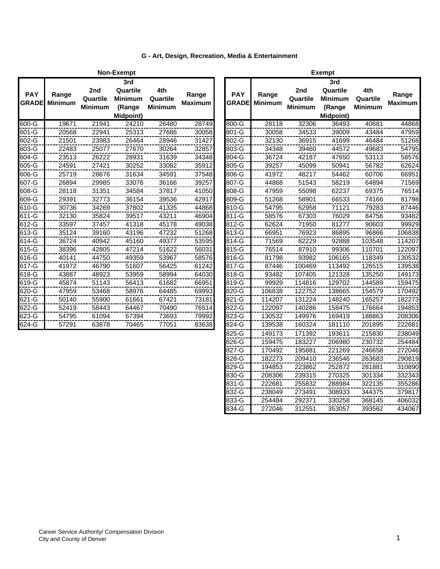|                            |                         |                                   | Non-Exempt                                               |                                   |                         |
|----------------------------|-------------------------|-----------------------------------|----------------------------------------------------------|-----------------------------------|-------------------------|
| <b>PAY</b><br><b>GRADE</b> | Range<br><b>Minimum</b> | 2nd<br>Quartile<br><b>Minimum</b> | 3rd<br>Quartile<br><b>Minimum</b><br>(Range<br>Midpoint) | 4th<br>Quartile<br><b>Minimum</b> | Range<br><b>Maximum</b> |
| 600-G                      | 19671                   | 21941                             | 24210                                                    | 26480                             | 28749                   |
| 601-G                      | 20568                   | 22941                             | 25313                                                    | 27686                             | 30058                   |
| 602-G                      | 21501                   | 23983                             | 26464                                                    | 28946                             | 31427                   |
| 603-G                      | 22483                   | 25077                             | 27670                                                    | 30264                             | 32857                   |
| 604-G                      | 23513                   | 26222                             | 28931                                                    | 31639                             | 34348                   |
| 605-G                      | 24591                   | 27421                             | 30252                                                    | 33082                             | 35912                   |
| 606-G                      | 25719                   | 28676                             | 31634                                                    | 34591                             | 37548                   |
| 607-G                      | 26894                   | 29985                             | 33076                                                    | 36166                             | 39257                   |
| 608-G                      | 28118                   | 31351                             | 34584                                                    | 37817                             | 41050                   |
| 609-G                      | 29391                   | 32773                             | 36154                                                    | 39536                             | 42917                   |
| 610-G                      | 30736                   | 34269                             | 37802                                                    | 41335                             | 44868                   |
| 611-G                      | 32130                   | 35824                             | 39517                                                    | 43211                             | 46904                   |
| 612-G                      | 33597                   | 37457                             | 41318                                                    | 45178                             | 49038                   |
| 613-G                      | 35124                   | 39160                             | 43196                                                    | 47232                             | 51268                   |
| 614-G                      | 36724                   | 40942                             | 45160                                                    | 49377                             | 53595                   |
| 615-G                      | 38396                   | 42805                             | 47214                                                    | 51622                             | 56031                   |
| 616-G                      | 40141                   | 44750                             | 49359                                                    | 53967                             | 58576                   |
| 617-G                      | 41972                   | 46790                             | 51607                                                    | 56425                             | 61242                   |
| 618-G                      | 43887                   | 48923                             | 53959                                                    | 58994                             | 64030                   |
| 619-G                      | 45874                   | 51143                             | 56413                                                    | 61682                             | 66951                   |
| 620-G                      | 47959                   | 53468                             | 58976                                                    | 64485                             | 69993                   |
| 621-G                      | 50140                   | 55900                             | 61661                                                    | 67421                             | 73181                   |
| 622-G                      | 52419                   | 58443                             | 64467                                                    | 70490                             | 76514                   |
| 623-G                      | 54795                   | 61094                             | 67394                                                    | 73693                             | 79992                   |
| 624-G                      | 57291                   | 63878                             | 70465                                                    | 77051                             | 83638                   |

| <b>PAY</b><br><b>GRADE</b> | Range<br><b>Minimum</b> | 2nd<br>Quartile<br><b>Minimum</b> | 3rd<br>Quartile<br><b>Minimum</b><br>(Range<br><b>Midpoint)</b> | 4th<br>Quartile<br><b>Minimum</b> | Range<br><b>Maximum</b> |       | <b>PAY</b><br><b>GRADE</b> | Range<br><b>Minimum</b> | 2nd<br>Quartile<br><b>Minimum</b> | 3rd<br>Quartile<br><b>Minimum</b><br>(Range<br><b>Midpoint)</b> | 4th<br>Quartile<br><b>Minimum</b> | Range<br><b>Maximum</b> |
|----------------------------|-------------------------|-----------------------------------|-----------------------------------------------------------------|-----------------------------------|-------------------------|-------|----------------------------|-------------------------|-----------------------------------|-----------------------------------------------------------------|-----------------------------------|-------------------------|
| 600-G                      | 19671                   | 21941                             | 24210                                                           | 26480                             | 28749                   | 800-G |                            | 28118                   | 32306                             | 36493                                                           | 40681                             | 44868                   |
| 601-G                      | 20568                   | 22941                             | 25313                                                           | 27686                             | 30058                   | 801-G |                            | 30058                   | 34533                             | 39009                                                           | 43484                             | 47959                   |
| 602-G                      | 21501                   | 23983                             | 26464                                                           | 28946                             | 31427                   | 802-G |                            | 32130                   | 36915                             | 41699                                                           | 46484                             | 51268                   |
| 603-G                      | 22483                   | 25077                             | 27670                                                           | 30264                             | 32857                   | 803-G |                            | 34348                   | 39460                             | 44572                                                           | 49683                             | 54795                   |
| 604-G                      | 23513                   | 26222                             | 28931                                                           | 31639                             | 34348                   | 804-G |                            | 36724                   | 42187                             | 47650                                                           | 53113                             | 58576                   |
| 605-G                      | 24591                   | 27421                             | 30252                                                           | 33082                             | 35912                   | 805-G |                            | 39257                   | 45099                             | 50941                                                           | 56782                             | 62624                   |
| 606-G                      | 25719                   | 28676                             | 31634                                                           | 34591                             | 37548                   | 806-G |                            | 41972                   | 48217                             | 54462                                                           | 60706                             | 66951                   |
| 607-G                      | 26894                   | 29985                             | 33076                                                           | 36166                             | 39257                   | 807-G |                            | 44868                   | 51543                             | 58219                                                           | 64894                             | 71569                   |
| 608-G                      | 28118                   | 31351                             | 34584                                                           | 37817                             | 41050                   | 808-G |                            | 47959                   | 55098                             | 62237                                                           | 69375                             | 76514                   |
| 609-G                      | 29391                   | 32773                             | 36154                                                           | 39536                             | 42917                   | 809-G |                            | 51268                   | 58901                             | 66533                                                           | 74166                             | 81798                   |
| 610-G                      | 30736                   | 34269                             | 37802                                                           | 41335                             | 44868                   | 810-G |                            | 54795                   | 62958                             | 71121                                                           | 79283                             | 87446                   |
| 611-G                      | 32130                   | 35824                             | 39517                                                           | 43211                             | 46904                   | 811-G |                            | 58576                   | 67303                             | 76029                                                           | 84756                             | 93482                   |
| 612-G                      | 33597                   | 37457                             | 41318                                                           | 45178                             | 49038                   | 812-G |                            | 62624                   | 71950                             | 81277                                                           | 90603                             | 99929                   |
| 613-G                      | 35124                   | 39160                             | 43196                                                           | 47232                             | 51268                   | 813-G |                            | 66951                   | 76923                             | 86895                                                           | 96866                             | 106838                  |
| 614-G                      | 36724                   | 40942                             | 45160                                                           | 49377                             | 53595                   | 814-G |                            | 71569                   | 82229                             | 92888                                                           | 103548                            | 114207                  |
| 615-G                      | 38396                   | 42805                             | 47214                                                           | 51622                             | 56031                   | 815-G |                            | 76514                   | 87910                             | 99306                                                           | 110701                            | 122097                  |
| 616-G                      | 40141                   | 44750                             | 49359                                                           | 53967                             | 58576                   | 816-G |                            | 81798                   | 93982                             | 106165                                                          | 118349                            | 130532                  |
| 617-G                      | 41972                   | 46790                             | 51607                                                           | 56425                             | 61242                   | 817-G |                            | 87446                   | 100469                            | 113492                                                          | 126515                            | 139538                  |
| 618-G                      | 43887                   | 48923                             | 53959                                                           | 58994                             | 64030                   | 818-G |                            | 93482                   | 107405                            | 121328                                                          | 135250                            | 149173                  |
| 619-G                      | 45874                   | 51143                             | 56413                                                           | 61682                             | 66951                   | 819-G |                            | 99929                   | 114816                            | 129702                                                          | 144589                            | 159475                  |
| 620-G                      | 47959                   | 53468                             | 58976                                                           | 64485                             | 69993                   | 820-G |                            | 106838                  | 122752                            | 138665                                                          | 154579                            | 170492                  |
| 621-G                      | 50140                   | 55900                             | 61661                                                           | 67421                             | 73181                   | 821-G |                            | 114207                  | 131224                            | 148240                                                          | 165257                            | 182273                  |
| 622-G                      | 52419                   | 58443                             | 64467                                                           | 70490                             | 76514                   | 822-G |                            | 122097                  | 140286                            | 158475                                                          | 176664                            | 194853                  |
| 623-G                      | 54795                   | 61094                             | 67394                                                           | 73693                             | 79992                   | 823-G |                            | 130532                  | 149976                            | 169419                                                          | 188863                            | 208306                  |
| $624 - G$                  | 57291                   | 63878                             | 70465                                                           | 77051                             | 83638                   | 824-G |                            | 139538                  | 160324                            | 181110                                                          | 201895                            | 222681                  |
|                            |                         |                                   |                                                                 |                                   |                         | 825-G |                            | 149173                  | 171392                            | 193611                                                          | 215830                            | 238049                  |
|                            |                         |                                   |                                                                 |                                   |                         | 826-G |                            | 159475                  | 183227                            | 206980                                                          | 230732                            | 254484                  |
|                            |                         |                                   |                                                                 |                                   |                         | 827-G |                            | 170492                  | 195881                            | 221269                                                          | 246658                            | 272046                  |
|                            |                         |                                   |                                                                 |                                   |                         | 828-G |                            | 182273                  | 209410                            | 236546                                                          | 263683                            | 290819                  |
|                            |                         |                                   |                                                                 |                                   |                         | 829-G |                            | 194853                  | 223862                            | 252872                                                          | 281881                            | 310890                  |
|                            |                         |                                   |                                                                 |                                   |                         |       |                            |                         |                                   |                                                                 |                                   |                         |

830-G 208306 239315 270325 301334 332343 831-G 222681 255832 288984 322135 355286 832-G 238049 273491 308933 344375 379817 833-G 254484 292371 330258 368145 406032

Exempt

272046 312551 353057

#### **G - Art, Design, Recreation, Media & Entertainment**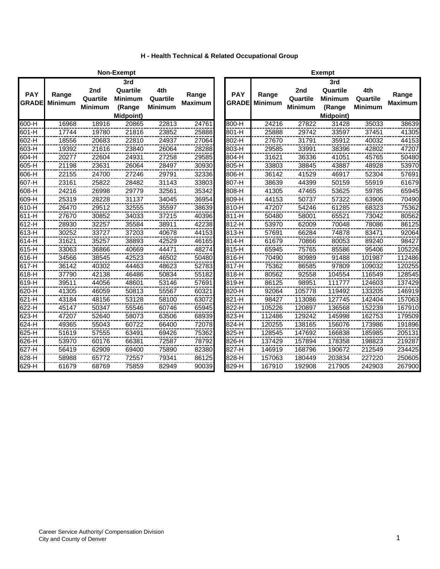|  | <b>H</b> - Health Technical & Related Occupational Group |  |  |  |
|--|----------------------------------------------------------|--|--|--|
|  |                                                          |  |  |  |

|                            |                         |                                   | Non-Exempt                                               |                                   |                         | <b>Exempt</b>              |                         |                                   |                                                                 |                                   |                         |
|----------------------------|-------------------------|-----------------------------------|----------------------------------------------------------|-----------------------------------|-------------------------|----------------------------|-------------------------|-----------------------------------|-----------------------------------------------------------------|-----------------------------------|-------------------------|
| <b>PAY</b><br><b>GRADE</b> | Range<br><b>Minimum</b> | 2nd<br>Quartile<br><b>Minimum</b> | 3rd<br>Quartile<br><b>Minimum</b><br>(Range<br>Midpoint) | 4th<br>Quartile<br><b>Minimum</b> | Range<br><b>Maximum</b> | <b>PAY</b><br><b>GRADE</b> | Range<br><b>Minimum</b> | 2nd<br>Quartile<br><b>Minimum</b> | 3rd<br>Quartile<br><b>Minimum</b><br>(Range<br><b>Midpoint)</b> | 4th<br>Quartile<br><b>Minimum</b> | Range<br><b>Maximum</b> |
| $600-H$                    | 16968                   | 18916                             | 20865                                                    | 22813                             | 24761                   | 800-H                      | 24216                   | 27822                             | 31428                                                           | 35033                             | 38639                   |
| 601-H                      | 17744                   | 19780                             | 21816                                                    | 23852                             | 25888                   | 801-H                      | 25888                   | 29742                             | 33597                                                           | 37451                             | 41305                   |
| 602-H                      | 18556                   | 20683                             | 22810                                                    | 24937                             | 27064                   | 802-H                      | 27670                   | 31791                             | 35912                                                           | 40032                             | 44153                   |
| 603-H                      | 19392                   | 21616                             | 23840                                                    | 26064                             | 28288                   | 803-H                      | 29585                   | 33991                             | 38396                                                           | 42802                             | 47207                   |
| 604-H                      | 20277                   | 22604                             | 24931                                                    | 27258                             | 29585                   | 804-H                      | 31621                   | 36336                             | 41051                                                           | 45765                             | 50480                   |
| 605-H                      | 21198                   | 23631                             | 26064                                                    | 28497                             | 30930                   | 805-H                      | 33803                   | 38845                             | 43887                                                           | 48928                             | 53970                   |
| 606-H                      | 22155                   | 24700                             | 27246                                                    | 29791                             | 32336                   | 806-H                      | 36142                   | 41529                             | 46917                                                           | 52304                             | 57691                   |
| 607-H                      | 23161                   | 25822                             | 28482                                                    | 31143                             | 33803                   | 807-H                      | 38639                   | 44399                             | 50159                                                           | 55919                             | 61679                   |
| 608-H                      | 24216                   | 26998                             | 29779                                                    | 32561                             | 35342                   | 808-H                      | 41305                   | 47465                             | 53625                                                           | 59785                             | 65945                   |
| 609-H                      | 25319                   | 28228                             | 31137                                                    | 34045                             | 36954                   | 809-H                      | 44153                   | 50737                             | 57322                                                           | 63906                             | 70490                   |
| 610-H                      | 26470                   | 29512                             | 32555                                                    | 35597                             | 38639                   | 810-H                      | 47207                   | 54246                             | 61285                                                           | 68323                             | 75362                   |
| 611-H                      | 27670                   | 30852                             | 34033                                                    | 37215                             | 40396                   | 811-H                      | 50480                   | 58001                             | 65521                                                           | 73042                             | 80562                   |
| 612-H                      | 28930                   | 32257                             | 35584                                                    | 38911                             | 42238                   | 812-H                      | 53970                   | 62009                             | 70048                                                           | 78086                             | 86125                   |
| 613-H                      | 30252                   | 33727                             | 37203                                                    | 40678                             | 44153                   | 813-H                      | 57691                   | 66284                             | 74878                                                           | 83471                             | 92064                   |
| $614 - H$                  | 31621                   | 35257                             | 38893                                                    | 42529                             | 46165                   | 814-H                      | 61679                   | 70866                             | 80053                                                           | 89240                             | 98427                   |
| 615-H                      | 33063                   | 36866                             | 40669                                                    | 44471                             | 48274                   | 815-H                      | 65945                   | 75765                             | 85586                                                           | 95406                             | 105226                  |
| $616-H$                    | 34566                   | 38545                             | 42523                                                    | 46502                             | 50480                   | $816-H$                    | 70490                   | 80989                             | 91488                                                           | 101987                            | 112486                  |
| $617 - H$                  | 36142                   | 40302                             | 44463                                                    | 48623                             | 52783                   | 817-H                      | 75362                   | 86585                             | 97809                                                           | 109032                            | 120255                  |
| 618-H                      | 37790                   | 42138                             | 46486                                                    | 50834                             | 55182                   | 818-H                      | 80562                   | 92558                             | 104554                                                          | 116549                            | 128545                  |
| 619-H                      | 39511                   | 44056                             | 48601                                                    | 53146                             | 57691                   | 819-H                      | 86125                   | 98951                             | 111777                                                          | 124603                            | 137429                  |
| 620-H                      | 41305                   | 46059                             | 50813                                                    | 55567                             | 60321                   | 820-H                      | 92064                   | 105778                            | 119492                                                          | 133205                            | 146919                  |
| $621 - H$                  | 43184                   | 48156                             | 53128                                                    | 58100                             | 63072                   | 821-H                      | 98427                   | 113086                            | 127745                                                          | 142404                            | 157063                  |
| $622-H$                    | 45147                   | 50347                             | 55546                                                    | 60746                             | 65945                   | 822-H                      | 105226                  | 120897                            | 136568                                                          | 152239                            | 167910                  |
| $623-H$                    | 47207                   | 52640                             | 58073                                                    | 63506                             | 68939                   | 823-H                      | 112486                  | 129242                            | 145998                                                          | 162753                            | 179509                  |
| $624-H$                    | 49365                   | 55043                             | 60722                                                    | 66400                             | 72078                   | $824-H$                    | 120255                  | 138165                            | 156076                                                          | 173986                            | 191896                  |
| $625 - H$                  | 51619                   | 57555                             | 63491                                                    | 69426                             | 75362                   | $825 - H$                  | 128545                  | 147692                            | 166838                                                          | 185985                            | 205131                  |
| 626-H                      | 53970                   | 60176                             | 66381                                                    | 72587                             | 78792                   | 826-H                      | 137429                  | 157894                            | 178358                                                          | 198823                            | 219287                  |
| 627-H                      | 56419                   | 62909                             | 69400                                                    | 75890                             | 82380                   | 827-H                      | 146919                  | 168796                            | 190672                                                          | 212549                            | 234425                  |
| 628-H                      | 58988                   | 65772                             | 72557                                                    | 79341                             | 86125                   | 828-H                      | 157063                  | 180449                            | 203834                                                          | 227220                            | 250605                  |
| 629-H                      | 61679                   | 68769                             | 75859                                                    | 82949                             | 90039                   | 829-H                      | 167910                  | 192908                            | 217905                                                          | 242903                            | 267900                  |

|              |                |          | <b>Exempt</b>  |                |                |
|--------------|----------------|----------|----------------|----------------|----------------|
|              |                |          | 3rd            |                |                |
| <b>PAY</b>   | Range          | 2nd      | Quartile       | 4th            | Range          |
| <b>GRADE</b> | <b>Minimum</b> | Quartile | <b>Minimum</b> | Quartile       | <b>Maximum</b> |
|              |                | Minimum  | (Range         | <b>Minimum</b> |                |
|              |                |          | Midpoint)      |                |                |
| 800-H        | 24216          | 27822    | 31428          | 35033          | 38639          |
| 801-H        | 25888          | 29742    | 33597          | 37451          | 41305          |
| 802-H        | 27670          | 31791    | 35912          | 40032          | 44153          |
| 803-H        | 29585          | 33991    | 38396          | 42802          | 47207          |
| 804-H        | 31621          | 36336    | 41051          | 45765          | 50480          |
| 805-H        | 33803          | 38845    | 43887          | 48928          | 53970          |
| 806-H        | 36142          | 41529    | 46917          | 52304          | 57691          |
| 807-H        | 38639          | 44399    | 50159          | 55919          | 61679          |
| 808-H        | 41305          | 47465    | 53625          | 59785          | 65945          |
| 809-H        | 44153          | 50737    | 57322          | 63906          | 70490          |
| 810-H        | 47207          | 54246    | 61285          | 68323          | 75362          |
| 811-H        | 50480          | 58001    | 65521          | 73042          | 80562          |
| 812-H        | 53970          | 62009    | 70048          | 78086          | 86125          |
| 813-H        | 57691          | 66284    | 74878          | 83471          | 92064          |
| 814-H        | 61679          | 70866    | 80053          | 89240          | 98427          |
| 815-H        | 65945          | 75765    | 85586          | 95406          | 105226         |
| 816-H        | 70490          | 80989    | 91488          | 101987         | 112486         |
| 817-H        | 75362          | 86585    | 97809          | 109032         | 120255         |
| 818-H        | 80562          | 92558    | 104554         | 116549         | 128545         |
| 819-H        | 86125          | 98951    | 111777         | 124603         | 137429         |
| 820-H        | 92064          | 105778   | 119492         | 133205         | 146919         |
| 821-H        | 98427          | 113086   | 127745         | 142404         | 157063         |
| 822-H        | 105226         | 120897   | 136568         | 152239         | 167910         |
| 823-H        | 112486         | 129242   | 145998         | 162753         | 179509         |
| 824-H        | 120255         | 138165   | 156076         | 173986         | 191896         |
| 825-H        | 128545         | 147692   | 166838         | 185985         | 205131         |
| 826-H        | 137429         | 157894   | 178358         | 198823         | 219287         |
| 827-H        | 146919         | 168796   | 190672         | 212549         | 234425         |
| 828-H        | 157063         | 180449   | 203834         | 227220         | 250605         |
| 829-H        | 167910         | 192908   | 217905         | 242903         | 267900         |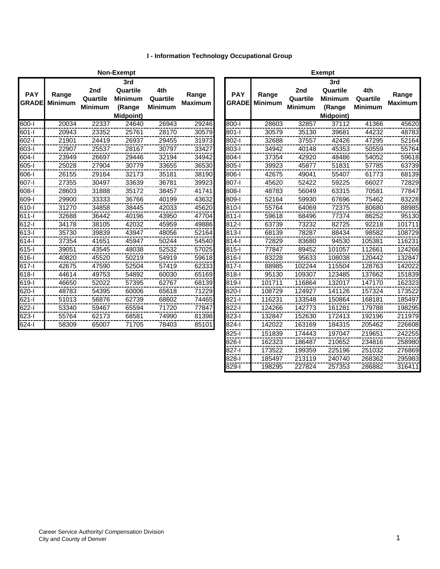# **I - Information Technology Occupational Group**

|                            |                         |                                   | Non-Exempt                                               |                                   |                         | <b>Exempt</b>              |                         |                                               |                                                                 |                                   |                         |  |
|----------------------------|-------------------------|-----------------------------------|----------------------------------------------------------|-----------------------------------|-------------------------|----------------------------|-------------------------|-----------------------------------------------|-----------------------------------------------------------------|-----------------------------------|-------------------------|--|
| <b>PAY</b><br><b>GRADE</b> | Range<br><b>Minimum</b> | 2nd<br>Quartile<br><b>Minimum</b> | 3rd<br>Quartile<br><b>Minimum</b><br>(Range<br>Midpoint) | 4th<br>Quartile<br><b>Minimum</b> | Range<br><b>Maximum</b> | <b>PAY</b><br><b>GRADE</b> | Range<br><b>Minimum</b> | 2 <sub>nd</sub><br>Quartile<br><b>Minimum</b> | 3rd<br>Quartile<br><b>Minimum</b><br>(Range<br><b>Midpoint)</b> | 4th<br>Quartile<br><b>Minimum</b> | Range<br><b>Maximum</b> |  |
| $600 - 1$                  | 20034                   | 22337                             | 24640                                                    | 26943                             | 29246                   | $800 - 1$                  | 28603                   | 32857                                         | 37112                                                           | 41366                             | 45620                   |  |
| 601-l                      | 20943                   | 23352                             | 25761                                                    | 28170                             | 30579                   | $801 - 1$                  | 30579                   | 35130                                         | 39681                                                           | 44232                             | 48783                   |  |
| $602 -$                    | 21901                   | 24419                             | 26937                                                    | 29455                             | 31973                   | 802-l                      | 32688                   | 37557                                         | 42426                                                           | 47295                             | 52164                   |  |
| 603-l                      | 22907                   | 25537                             | 28167                                                    | 30797                             | 33427                   | 803-l                      | 34942                   | 40148                                         | 45353                                                           | 50559                             | 55764                   |  |
| 604-l                      | 23949                   | 26697                             | 29446                                                    | 32194                             | 34942                   | $804 - 1$                  | 37354                   | 42920                                         | 48486                                                           | 54052                             | 59618                   |  |
| $605 -$                    | 25028                   | 27904                             | 30779                                                    | 33655                             | 36530                   | 805-l                      | 39923                   | 45877                                         | 51831                                                           | 57785                             | 63739                   |  |
| 606-l                      | 26155                   | 29164                             | 32173                                                    | 35181                             | 38190                   | 806-l                      | 42675                   | 49041                                         | 55407                                                           | 61773                             | 68139                   |  |
| 607-l                      | 27355                   | 30497                             | 33639                                                    | 36781                             | 39923                   | 807-l                      | 45620                   | 52422                                         | 59225                                                           | 66027                             | 72829                   |  |
| 608-l                      | 28603                   | 31888                             | 35172                                                    | 38457                             | 41741                   | 808-l                      | 48783                   | 56049                                         | 63315                                                           | 70581                             | 77847                   |  |
| 609-l                      | 29900                   | 33333                             | 36766                                                    | 40199                             | 43632                   | 809-l                      | 52164                   | 59930                                         | 67696                                                           | 75462                             | 83228                   |  |
| 610-l                      | 31270                   | 34858                             | 38445                                                    | 42033                             | 45620                   | 810-l                      | 55764                   | 64069                                         | 72375                                                           | 80680                             | 88985                   |  |
| 611-l                      | 32688                   | 36442                             | 40196                                                    | 43950                             | 47704                   | $811 -$                    | 59618                   | 68496                                         | 77374                                                           | 86252                             | 95130                   |  |
| 612-l                      | 34178                   | 38105                             | 42032                                                    | 45959                             | 49886                   | $812 - 1$                  | 63739                   | 73232                                         | 82725                                                           | 92218                             | 101711                  |  |
| $\frac{1}{613}$            | 35730                   | 39839                             | 43947                                                    | 48056                             | 52164                   | 813-l                      | 68139                   | 78287                                         | 88434                                                           | 98582                             | 108729                  |  |
| $614 -$                    | 37354                   | 41651                             | 45947                                                    | 50244                             | 54540                   | $814 -$                    | 72829                   | 83680                                         | 94530                                                           | 105381                            | 116231                  |  |
| $615 -$                    | 39051                   | 43545                             | 48038                                                    | 52532                             | 57025                   | $815-I$                    | 77847                   | 89452                                         | 101057                                                          | 112661                            | 124266                  |  |
| 616-l                      | 40820                   | 45520                             | 50219                                                    | 54919                             | 59618                   | 816-l                      | 83228                   | 95633                                         | 108038                                                          | 120442                            | 132847                  |  |
| 617-l                      | 42675                   | 47590                             | 52504                                                    | 57419                             | 62333                   | $817 - 1$                  | 88985                   | 102244                                        | 115504                                                          | 128763                            | 142022                  |  |
| $618 -$                    | 44614                   | 49753                             | 54892                                                    | 60030                             | 65169                   | 818-l                      | 95130                   | 109307                                        | 123485                                                          | 137662                            | 151839                  |  |
| $619 -$                    | 46650                   | 52022                             | 57395                                                    | 62767                             | 68139                   | 819-l                      | 101711                  | 116864                                        | 132017                                                          | 147170                            | 162323                  |  |
| 620-l                      | 48783                   | 54395                             | 60006                                                    | 65618                             | 71229                   | 820-l                      | 108729                  | 124927                                        | 141126                                                          | 157324                            | 173522                  |  |
| $621 -$                    | 51013                   | 56876                             | 62739                                                    | 68602                             | 74465                   | $821 - 1$                  | 116231                  | 133548                                        | 150864                                                          | 168181                            | 185497                  |  |
| $622 - 1$                  | 53340                   | 59467                             | 65594                                                    | 71720                             | 77847                   | 822-l                      | 124266                  | 142773                                        | 161281                                                          | 179788                            | 198295                  |  |
| 623-l                      | 55764                   | 62173                             | 68581                                                    | 74990                             | 81398                   | 823-l                      | 132847                  | 152630                                        | 172413                                                          | 192196                            | 211979                  |  |
| $624 -$                    | 58309                   | 65007                             | 71705                                                    | 78403                             | 85101                   | $824 - 1$                  | 142022                  | 163169                                        | 184315                                                          | 205462                            | 226608                  |  |
|                            |                         |                                   |                                                          |                                   |                         |                            |                         |                                               |                                                                 |                                   |                         |  |

|              |                         |                | <b>Exempt</b>  |                |                         |
|--------------|-------------------------|----------------|----------------|----------------|-------------------------|
|              |                         |                | 3rd            |                |                         |
| <b>PAY</b>   |                         | 2nd            | Quartile       | 4th            |                         |
| <b>GRADE</b> | Range<br><b>Minimum</b> | Quartile       | <b>Minimum</b> | Quartile       | Range<br><b>Maximum</b> |
|              |                         | <b>Minimum</b> | (Range         | <b>Minimum</b> |                         |
|              |                         |                | Midpoint)      |                |                         |
| $800 - 1$    | 28603                   | 32857          | 37112          | 41366          | 45620                   |
| 801-l        | 30579                   | 35130          | 39681          | 44232          | 48783                   |
| 802-l        | 32688                   | 37557          | 42426          | 47295          | 52164                   |
| $803-1$      | 34942                   | 40148          | 45353          | 50559          | 55764                   |
| $804 - 1$    | 37354                   | 42920          | 48486          | 54052          | 59618                   |
| $805 -$      | 39923                   | 45877          | 51831          | 57785          | 63739                   |
| $806 - 1$    | 42675                   | 49041          | 55407          | 61773          | 68139                   |
| 807-l        | 45620                   | 52422          | 59225          | 66027          | 72829                   |
| 808-l        | 48783                   | 56049          | 63315          | 70581          | 77847                   |
| 809-l        | 52164                   | 59930          | 67696          | 75462          | 83228                   |
| 810-l        | 55764                   | 64069          | 72375          | 80680          | 88985                   |
| $811 -$      | 59618                   | 68496          | 77374          | 86252          | 95130                   |
| $812 -$      | 63739                   | 73232          | 82725          | 92218          | 101711                  |
| $813 -$      | 68139                   | 78287          | 88434          | 98582          | 108729                  |
| $814 -$      | 72829                   | 83680          | 94530          | 105381         | 116231                  |
| $815 -$      | 77847                   | 89452          | 101057         | 112661         | 124266                  |
| $816 -$      | 83228                   | 95633          | 108038         | 120442         | 132847                  |
| $817 -$      | 88985                   | 102244         | 115504         | 128763         | 142022                  |
| 818-l        | 95130                   | 109307         | 123485         | 137662         | 151839                  |
| 819-l        | 101711                  | 116864         | 132017         | 147170         | 162323                  |
| 820-l        | 108729                  | 124927         | 141126         | 157324         | 173522                  |
| $821 -$      | 116231                  | 133548         | 150864         | 168181         | 185497                  |
| 822-l        | 124266                  | 142773         | 161281         | 179788         | 198295                  |
| $823 -$      | 132847                  | 152630         | 172413         | 192196         | 211979                  |
| 824-l        | 142022                  | 163169         | 184315         | 205462         | 226608                  |
| 825-l        | 151839                  | 174443         | 197047         | 219651         | 242255                  |
| $826 -$      | 162323                  | 186487         | 210652         | 234816         | 258980                  |
| 827-l        | 173522                  | 199359         | 225196         | 251032         | 276869                  |
| 828-l        | 185497                  | 213119         | 240740         | 268362         | 295983                  |
| 829-l        | 198295                  | 227824         | 257353         | 286882         | 316411                  |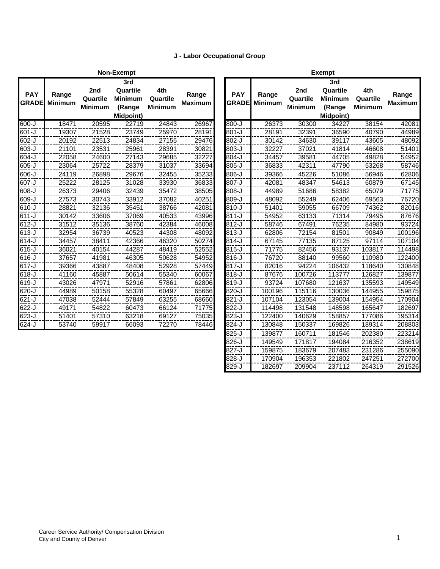### **J - Labor Occupational Group**

|                            |                         |                                   | <b>Non-Exempt</b>                                        |                                   |                         | <b>Exempt</b>              |                         |                                   |                                                                 |                                   |                         |
|----------------------------|-------------------------|-----------------------------------|----------------------------------------------------------|-----------------------------------|-------------------------|----------------------------|-------------------------|-----------------------------------|-----------------------------------------------------------------|-----------------------------------|-------------------------|
| <b>PAY</b><br><b>GRADE</b> | Range<br><b>Minimum</b> | 2nd<br>Quartile<br><b>Minimum</b> | 3rd<br>Quartile<br><b>Minimum</b><br>(Range<br>Midpoint) | 4th<br>Quartile<br><b>Minimum</b> | Range<br><b>Maximum</b> | <b>PAY</b><br><b>GRADE</b> | Range<br><b>Minimum</b> | 2nd<br>Quartile<br><b>Minimum</b> | 3rd<br>Quartile<br><b>Minimum</b><br>(Range<br><b>Midpoint)</b> | 4th<br>Quartile<br><b>Minimum</b> | Range<br><b>Maximum</b> |
| 600-J                      | 18471                   | 20595                             | 22719                                                    | 24843                             | 26967                   | $800 - J$                  | 26373                   | 30300                             | 34227                                                           | 38154                             | 42081                   |
| 601-J                      | 19307                   | 21528                             | 23749                                                    | 25970                             | 28191                   | $801 - J$                  | 28191                   | 32391                             | 36590                                                           | 40790                             | 44989                   |
| 602-J                      | 20192                   | 22513                             | 24834                                                    | 27155                             | 29476                   | $802 - J$                  | 30142                   | 34630                             | 39117                                                           | 43605                             | 48092                   |
| 603-J                      | 21101                   | 23531                             | 25961                                                    | 28391                             | 30821                   | 803-J                      | 32227                   | 37021                             | 41814                                                           | 46608                             | 51401                   |
| 604-J                      | 22058                   | 24600                             | 27143                                                    | 29685                             | 32227                   | $804 - J$                  | 34457                   | 39581                             | 44705                                                           | 49828                             | 54952                   |
| 605-J                      | 23064                   | 25722                             | 28379                                                    | 31037                             | 33694                   | $805 - J$                  | 36833                   | 42311                             | 47790                                                           | 53268                             | 58746                   |
| 606-J                      | 24119                   | 26898                             | 29676                                                    | 32455                             | 35233                   | $806 - J$                  | 39366                   | 45226                             | 51086                                                           | 56946                             | 62806                   |
| 607-J                      | 25222                   | 28125                             | 31028                                                    | 33930                             | 36833                   | 807-J                      | 42081                   | 48347                             | 54613                                                           | 60879                             | 67145                   |
| 608-J                      | 26373                   | 29406                             | 32439                                                    | 35472                             | 38505                   | $808 - J$                  | 44989                   | 51686                             | 58382                                                           | 65079                             | 71775                   |
| 609-J                      | 27573                   | 30743                             | 33912                                                    | 37082                             | 40251                   | 809-J                      | 48092                   | 55249                             | 62406                                                           | 69563                             | 76720                   |
| 610-J                      | 28821                   | 32136                             | 35451                                                    | 38766                             | 42081                   | $810 - J$                  | 51401                   | 59055                             | 66709                                                           | 74362                             | 82016                   |
| $611 - J$                  | 30142                   | 33606                             | 37069                                                    | 40533                             | 43996                   | $811 - J$                  | 54952                   | 63133                             | 71314                                                           | 79495                             | 87676                   |
| 612-J                      | 31512                   | 35136                             | 38760                                                    | 42384                             | 46008                   | $812-J$                    | 58746                   | 67491                             | 76235                                                           | 84980                             | 93724                   |
| 613-J                      | 32954                   | 36739                             | 40523                                                    | 44308                             | 48092                   | $813-J$                    | 62806                   | 72154                             | 81501                                                           | 90849                             | 100196                  |
| 614-J                      | 34457                   | 38411                             | 42366                                                    | 46320                             | 50274                   | $814 - J$                  | 67145                   | 77135                             | 87125                                                           | 97114                             | 107104                  |
| 615-J                      | 36021                   | 40154                             | 44287                                                    | 48419                             | 52552                   | $815 - J$                  | 71775                   | 82456                             | 93137                                                           | 103817                            | 114498                  |
| 616-J                      | 37657                   | 41981                             | 46305                                                    | 50628                             | 54952                   | $816 - J$                  | 76720                   | 88140                             | 99560                                                           | 110980                            | 122400                  |
| $617 - J$                  | 39366                   | 43887                             | 48408                                                    | 52928                             | 57449                   | 817-J                      | 82016                   | 94224                             | 106432                                                          | 118640                            | 130848                  |
| 618-J                      | 41160                   | 45887                             | 50614                                                    | 55340                             | 60067                   | $818 - J$                  | 87676                   | 100726                            | 113777                                                          | 126827                            | 139877                  |
| 619-J                      | 43026                   | 47971                             | 52916                                                    | 57861                             | 62806                   | 819-J                      | 93724                   | 107680                            | 121637                                                          | 135593                            | 149549                  |
| 620-J                      | 44989                   | 50158                             | 55328                                                    | 60497                             | 65666                   | $820 - J$                  | 100196                  | 115116                            | 130036                                                          | 144955                            | 159875                  |
| 621-J                      | 47038                   | 52444                             | 57849                                                    | 63255                             | 68660                   | $821 - J$                  | 107104                  | 123054                            | 139004                                                          | 154954                            | 170904                  |
| 622-J                      | 49171                   | 54822                             | 60473                                                    | 66124                             | 71775                   | 822-J                      | 114498                  | 131548                            | 148598                                                          | 165647                            | 182697                  |
| 623-J                      | 51401                   | 57310                             | 63218                                                    | 69127                             | 75035                   | 823-J                      | 122400                  | 140629                            | 158857                                                          | 177086                            | 195314                  |
| $624 - J$                  | 53740                   | 59917                             | 66093                                                    | 72270                             | 78446                   | $824 - J$                  | 130848                  | 150337                            | 169826                                                          | 189314                            | 208803                  |
|                            |                         |                                   |                                                          |                                   |                         |                            |                         |                                   |                                                                 |                                   |                         |

|              |                         |                | <b>Exempt</b>    |                |                         |
|--------------|-------------------------|----------------|------------------|----------------|-------------------------|
|              |                         |                | 3rd              |                |                         |
| <b>PAY</b>   |                         | 2nd            | Quartile         | 4th            |                         |
| <b>GRADE</b> | Range<br><b>Minimum</b> | Quartile       | <b>Minimum</b>   | Quartile       | Range<br><b>Maximum</b> |
|              |                         | <b>Minimum</b> | (Range           | <b>Minimum</b> |                         |
|              |                         |                | <b>Midpoint)</b> |                |                         |
| $800 - J$    | 26373                   | 30300          | 34227            | 38154          | 42081                   |
| $801 - J$    | 28191                   | 32391          | 36590            | 40790          | 44989                   |
| 802-J        | 30142                   | 34630          | 39117            | 43605          | 48092                   |
| 803-J        | 32227                   | 37021          | 41814            | 46608          | 51401                   |
| $804-J$      | 34457                   | 39581          | 44705            | 49828          | 54952                   |
| $805 - J$    | 36833                   | 42311          | 47790            | 53268          | 58746                   |
| $806 - J$    | 39366                   | 45226          | 51086            | 56946          | 62806                   |
| 807-J        | 42081                   | 48347          | 54613            | 60879          | 67145                   |
| 808-J        | 44989                   | 51686          | 58382            | 65079          | 71775                   |
| 809-J        | 48092                   | 55249          | 62406            | 69563          | 76720                   |
| 810-J        | 51401                   | 59055          | 66709            | 74362          | 82016                   |
| $811 - J$    | 54952                   | 63133          | 71314            | 79495          | 87676                   |
| $812-J$      | 58746                   | 67491          | 76235            | 84980          | 93724                   |
| 813-J        | 62806                   | 72154          | 81501            | 90849          | 100196                  |
| 814-J        | 67145                   | 77135          | 87125            | 97114          | 107104                  |
| $815 - J$    | 71775                   | 82456          | 93137            | 103817         | 114498                  |
| $816 - J$    | 76720                   | 88140          | 99560            | 110980         | 122400                  |
| 817-J        | 82016                   | 94224          | 106432           | 118640         | 130848                  |
| 818-J        | 87676                   | 100726         | 113777           | 126827         | 139877                  |
| 819-J        | 93724                   | 107680         | 121637           | 135593         | 149549                  |
| 820-J        | 100196                  | 115116         | 130036           | 144955         | 159875                  |
| 821-J        | 107104                  | 123054         | 139004           | 154954         | 170904                  |
| 822-J        | 114498                  | 131548         | 148598           | 165647         | 182697                  |
| 823-J        | 122400                  | 140629         | 158857           | 177086         | 195314                  |
| $824 - J$    | 130848                  | 150337         | 169826           | 189314         | 208803                  |
| $825 - J$    | 139877                  | 160711         | 181546           | 202380         | 223214                  |
| $826 - J$    | 149549                  | 171817         | 194084           | 216352         | 238619                  |
| $827 - J$    | 159875                  | 183679         | 207483           | 231286         | 255090                  |
| 828-J        | 170904                  | 196353         | 221802           | 247251         | 272700                  |
| 829-J        | 182697                  | 209904         | 237112           | 264319         | 291526                  |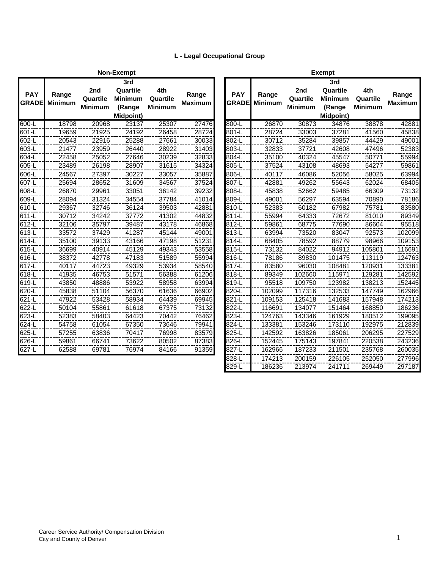## **L - Legal Occupational Group**

|                            |                         |                                   | <b>Non-Exempt</b>                                        |                                   |                         |                            |                         |                                   | <b>Exempt</b>                                       |
|----------------------------|-------------------------|-----------------------------------|----------------------------------------------------------|-----------------------------------|-------------------------|----------------------------|-------------------------|-----------------------------------|-----------------------------------------------------|
| <b>PAY</b><br><b>GRADE</b> | Range<br><b>Minimum</b> | 2nd<br>Quartile<br><b>Minimum</b> | 3rd<br>Quartile<br><b>Minimum</b><br>(Range<br>Midpoint) | 4th<br>Quartile<br><b>Minimum</b> | Range<br><b>Maximum</b> | <b>PAY</b><br><b>GRADE</b> | Range<br><b>Minimum</b> | 2nd<br>Quartile<br><b>Minimum</b> | 3 <sub>l</sub><br>Qua<br>Mini<br>(Ra<br><b>Midp</b> |
| $\overline{600}$ -L        | 18798                   | 20968                             | 23137                                                    | 25307                             | 27476                   | 800-L                      | 26870                   | 30873                             |                                                     |
| 601-L                      | 19659                   | 21925                             | 24192                                                    | 26458                             | 28724                   | 801-L                      | 28724                   | 33003                             |                                                     |
| 602-L                      | 20543                   | 22916                             | 25288                                                    | 27661                             | 30033                   | 802-L                      | 30712                   | 35284                             | 3                                                   |
| 603-L                      | 21477                   | 23959                             | 26440                                                    | 28922                             | 31403                   | 803-L                      | 32833                   | 37721                             | 4                                                   |
| 604-L                      | 22458                   | 25052                             | 27646                                                    | 30239                             | 32833                   | 804-L                      | 35100                   | 40324                             | 4                                                   |
| 605-L                      | 23489                   | 26198                             | 28907                                                    | 31615                             | 34324                   | 805-L                      | 37524                   | 43108                             | 4                                                   |
| 606-L                      | 24567                   | 27397                             | 30227                                                    | 33057                             | 35887                   | 806-L                      | 40117                   | 46086                             | 5                                                   |
| 607-L                      | 25694                   | 28652                             | 31609                                                    | 34567                             | 37524                   | 807-L                      | 42881                   | 49262                             | 5                                                   |
| 608-L                      | 26870                   | 29961                             | 33051                                                    | 36142                             | 39232                   | 808-L                      | 45838                   | 52662                             | 5                                                   |
| 609-L                      | 28094                   | 31324                             | 34554                                                    | 37784                             | 41014                   | 809-L                      | 49001                   | 56297                             | 6                                                   |
| 610-L                      | 29367                   | 32746                             | 36124                                                    | 39503                             | 42881                   | 810-L                      | 52383                   | 60182                             | 6                                                   |
| 611-L                      | 30712                   | 34242                             | 37772                                                    | 41302                             | 44832                   | 811-L                      | 55994                   | 64333                             |                                                     |
| 612-L                      | 32106                   | 35797                             | 39487                                                    | 43178                             | 46868                   | 812-L                      | 59861                   | 68775                             |                                                     |
| 613-L                      | 33572                   | 37429                             | 41287                                                    | 45144                             | 49001                   | 813-L                      | 63994                   | 73520                             | 8                                                   |
| $614-L$                    | 35100                   | 39133                             | 43166                                                    | 47198                             | 51231                   | 814-L                      | 68405                   | 78592                             | 8                                                   |
| 615-L                      | 36699                   | 40914                             | 45129                                                    | 49343                             | 53558                   | 815-L                      | 73132                   | 84022                             | g                                                   |
| 616-L                      | 38372                   | 42778                             | 47183                                                    | 51589                             | 55994                   | 816-L                      | 78186                   | 89830                             | 10                                                  |
| 617-L                      | 40117                   | 44723                             | 49329                                                    | 53934                             | 58540                   | 817-L                      | 83580                   | 96030                             | 10                                                  |
| 618-L                      | 41935                   | 46753                             | 51571                                                    | 56388                             | 61206                   | 818-L                      | 89349                   | 102660                            | 11                                                  |
| 619-L                      | 43850                   | 48886                             | 53922                                                    | 58958                             | 63994                   | 819-L                      | 95518                   | 109750                            | 12                                                  |
| 620-L                      | 45838                   | 51104                             | 56370                                                    | 61636                             | 66902                   | 820-L                      | 102099                  | 117316                            | 13                                                  |
| 621-L                      | 47922                   | 53428                             | 58934                                                    | 64439                             | 69945                   | 821-L                      | 109153                  | 125418                            | 14                                                  |
| 622-L                      | 50104                   | 55861                             | 61618                                                    | 67375                             | 73132                   | 822-L                      | 116691                  | 134077                            | 15                                                  |
| 623-L                      | 52383                   | 58403                             | 64423                                                    | 70442                             | 76462                   | 823-L                      | 124763                  | 143346                            | 16                                                  |
| 624-L                      | 54758                   | 61054                             | 67350                                                    | 73646                             | 79941                   | 824-L                      | 133381                  | 153246                            | 17                                                  |
| $625 - L$                  | 57255                   | 63836                             | 70417                                                    | 76998                             | 83579                   | 825-L                      | 142592                  | 163826                            | $\overline{18}$                                     |
| 626-L                      | 59861                   | 66741                             | 73622                                                    | 80502                             | 87383                   | 826-L                      | 152445                  | 175143                            | 19                                                  |
| 627-L                      | 62588                   | 69781                             | 76974                                                    | 84166                             | 91359                   | 827-L                      | 162966                  | 187233                            | 21                                                  |
|                            |                         |                                   |                                                          |                                   |                         |                            |                         |                                   |                                                     |

|                            |                         |                                   | Non-Exempt                                                      |                                   |                         |                            |                         |                                   | <b>Exempt</b>                                            |                                   |                         |
|----------------------------|-------------------------|-----------------------------------|-----------------------------------------------------------------|-----------------------------------|-------------------------|----------------------------|-------------------------|-----------------------------------|----------------------------------------------------------|-----------------------------------|-------------------------|
| <b>PAY</b><br><b>GRADE</b> | Range<br><b>Minimum</b> | 2nd<br>Quartile<br><b>Minimum</b> | 3rd<br>Quartile<br><b>Minimum</b><br>(Range<br><b>Midpoint)</b> | 4th<br>Quartile<br><b>Minimum</b> | Range<br><b>Maximum</b> | <b>PAY</b><br><b>GRADE</b> | Range<br><b>Minimum</b> | 2nd<br>Quartile<br><b>Minimum</b> | 3rd<br>Quartile<br><b>Minimum</b><br>(Range<br>Midpoint) | 4th<br>Quartile<br><b>Minimum</b> | Range<br><b>Maximum</b> |
| 600-L                      | 18798                   | 20968                             | 23137                                                           | 25307                             | 27476                   | 800-L                      | 26870                   | 30873                             | 34876                                                    | 38878                             | 42881                   |
| 601-L                      | 19659                   | 21925                             | 24192                                                           | 26458                             | 28724                   | 801-L                      | 28724                   | 33003                             | 37281                                                    | 41560                             | 45838                   |
| 602-L                      | 20543                   | 22916                             | 25288                                                           | 27661                             | 30033                   | 802-L                      | 30712                   | 35284                             | 39857                                                    | 44429                             | 49001                   |
| 603-L                      | 21477                   | 23959                             | 26440                                                           | 28922                             | 31403                   | 803-L                      | 32833                   | 37721                             | 42608                                                    | 47496                             | 52383                   |
| 604-L                      | 22458                   | 25052                             | 27646                                                           | 30239                             | 32833                   | 804-L                      | 35100                   | 40324                             | 45547                                                    | 50771                             | 55994                   |
| 605-L                      | 23489                   | 26198                             | 28907                                                           | 31615                             | 34324                   | 805-L                      | 37524                   | 43108                             | 48693                                                    | 54277                             | 59861                   |
| $606 - L$                  | 24567                   | 27397                             | 30227                                                           | 33057                             | 35887                   | 806-L                      | 40117                   | 46086                             | 52056                                                    | 58025                             | 63994                   |
| 607-L                      | 25694                   | 28652                             | 31609                                                           | 34567                             | 37524                   | 807-L                      | 42881                   | 49262                             | 55643                                                    | 62024                             | 68405                   |
| 608-L                      | 26870                   | 29961                             | 33051                                                           | 36142                             | 39232                   | 808-L                      | 45838                   | 52662                             | 59485                                                    | 66309                             | 73132                   |
| 609-L                      | 28094                   | 31324                             | 34554                                                           | 37784                             | 41014                   | 809-L                      | 49001                   | 56297                             | 63594                                                    | 70890                             | 78186                   |
| 610-L                      | 29367                   | 32746                             | 36124                                                           | 39503                             | 42881                   | 810-L                      | 52383                   | 60182                             | 67982                                                    | 75781                             | 83580                   |
| 611-L                      | 30712                   | 34242                             | 37772                                                           | 41302                             | 44832                   | 811-L                      | 55994                   | 64333                             | 72672                                                    | 81010                             | 89349                   |
| 612-L                      | 32106                   | 35797                             | 39487                                                           | 43178                             | 46868                   | 812-L                      | 59861                   | 68775                             | 77690                                                    | 86604                             | 95518                   |
| 613-L                      | 33572                   | 37429                             | 41287                                                           | 45144                             | 49001                   | 813-L                      | 63994                   | 73520                             | 83047                                                    | 92573                             | 102099                  |
| 614-L                      | 35100                   | 39133                             | 43166                                                           | 47198                             | 51231                   | 814-L                      | 68405                   | 78592                             | 88779                                                    | 98966                             | 109153                  |
| $615-L$                    | 36699                   | 40914                             | 45129                                                           | 49343                             | 53558                   | 815-L                      | 73132                   | 84022                             | 94912                                                    | 105801                            | 116691                  |
| 616-L                      | 38372                   | 42778                             | 47183                                                           | 51589                             | 55994                   | 816-L                      | 78186                   | 89830                             | 101475                                                   | 113119                            | 124763                  |
| 617-L                      | 40117                   | 44723                             | 49329                                                           | 53934                             | 58540                   | 817-L                      | 83580                   | 96030                             | 108481                                                   | 120931                            | 133381                  |
| 618-L                      | 41935                   | 46753                             | 51571                                                           | 56388                             | 61206                   | 818-L                      | 89349                   | 102660                            | 115971                                                   | 129281                            | 142592                  |
| 619-L                      | 43850                   | 48886                             | 53922                                                           | 58958                             | 63994                   | 819-L                      | 95518                   | 109750                            | 123982                                                   | 138213                            | 152445                  |
| 620-L                      | 45838                   | 51104                             | 56370                                                           | 61636                             | 66902                   | 820-L                      | 102099                  | 117316                            | 132533                                                   | 147749                            | 162966                  |
| 621-L                      | 47922                   | 53428                             | 58934                                                           | 64439                             | 69945                   | 821-L                      | 109153                  | 125418                            | 141683                                                   | 157948                            | 174213                  |
| 622-L                      | 50104                   | 55861                             | 61618                                                           | 67375                             | 73132                   | 822-L                      | 116691                  | 134077                            | 151464                                                   | 168850                            | 186236                  |
| $623 - L$                  | 52383                   | 58403                             | 64423                                                           | 70442                             | 76462                   | $823 - L$                  | 124763                  | 143346                            | 161929                                                   | 180512                            | 199095                  |
| $624 - L$                  | 54758                   | 61054                             | 67350                                                           | 73646                             | 79941                   | $824 - L$                  | 133381                  | 153246                            | 173110                                                   | 192975                            | 212839                  |
| $625 - L$                  | 57255                   | 63836                             | 70417                                                           | 76998                             | 83579                   | 825-L                      | 142592                  | 163826                            | 185061                                                   | 206295                            | 227529                  |
| 626-L                      | 59861                   | 66741                             | 73622                                                           | 80502                             | 87383                   | 826-L                      | 152445                  | 175143                            | 197841                                                   | 220538                            | 243236                  |
| 627-L                      | 62588                   | 69781                             | 76974                                                           | 84166                             | 91359                   | 827-L                      | 162966                  | 187233                            | 211501                                                   | 235768                            | 260035                  |
|                            |                         |                                   |                                                                 |                                   |                         | 828-L                      | 174213                  | 200159                            | 226105                                                   | 252050                            | 277996                  |
|                            |                         |                                   |                                                                 |                                   |                         | 829-L                      | 186236                  | 213974                            | 241711                                                   | 269449                            | 297187                  |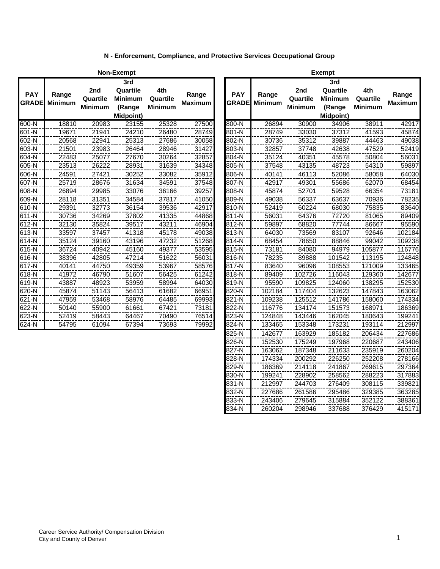|                            |                         |                            | <b>Non-Exempt</b>                                        |                                   |                         |                            |                         |                                   | <b>Exempt</b>                                        |
|----------------------------|-------------------------|----------------------------|----------------------------------------------------------|-----------------------------------|-------------------------|----------------------------|-------------------------|-----------------------------------|------------------------------------------------------|
| <b>PAY</b><br><b>GRADE</b> | Range<br><b>Minimum</b> | 2nd<br>Quartile<br>Minimum | 3rd<br>Quartile<br><b>Minimum</b><br>(Range<br>Midpoint) | 4th<br>Quartile<br><b>Minimum</b> | Range<br><b>Maximum</b> | <b>PAY</b><br><b>GRADE</b> | Range<br><b>Minimum</b> | 2nd<br>Quartile<br><b>Minimum</b> | 3 <sub>l</sub><br>Qua<br>Miniı<br>(Ra<br><b>Midp</b> |
| 600-N                      | 18810                   | 20983                      | 23155                                                    | 25328                             | 27500                   | 800-N                      | 26894                   | 30900                             |                                                      |
| 601-N                      | 19671                   | 21941                      | 24210                                                    | 26480                             | 28749                   | 801-N                      | 28749                   | 33030                             |                                                      |
| 602-N                      | 20568                   | 22941                      | 25313                                                    | 27686                             | 30058                   | 802-N                      | 30736                   | 35312                             | 3                                                    |
| 603-N                      | 21501                   | 23983                      | 26464                                                    | 28946                             | 31427                   | 803-N                      | 32857                   | 37748                             | 4                                                    |
| 604-N                      | 22483                   | 25077                      | 27670                                                    | 30264                             | 32857                   | 804-N                      | 35124                   | 40351                             | 4                                                    |
| 605-N                      | 23513                   | 26222                      | 28931                                                    | 31639                             | 34348                   | 805-N                      | 37548                   | 43135                             | 4                                                    |
| 606-N                      | 24591                   | 27421                      | 30252                                                    | 33082                             | 35912                   | 806-N                      | 40141                   | 46113                             |                                                      |
| 607-N                      | 25719                   | 28676                      | 31634                                                    | 34591                             | 37548                   | 807-N                      | 42917                   | 49301                             | 5                                                    |
| 608-N                      | 26894                   | 29985                      | 33076                                                    | 36166                             | 39257                   | 808-N                      | 45874                   | 52701                             | 5                                                    |
| 609-N                      | 28118                   | 31351                      | 34584                                                    | 37817                             | 41050                   | 809-N                      | 49038                   | 56337                             | 6                                                    |
| 610-N                      | 29391                   | 32773                      | 36154                                                    | 39536                             | 42917                   | 810-N                      | 52419                   | 60224                             | 6                                                    |
| 611-N                      | 30736                   | 34269                      | 37802                                                    | 41335                             | 44868                   | 811-N                      | 56031                   | 64376                             |                                                      |
| 612-N                      | 32130                   | 35824                      | 39517                                                    | 43211                             | 46904                   | 812-N                      | 59897                   | 68820                             |                                                      |
| 613-N                      | 33597                   | 37457                      | 41318                                                    | 45178                             | 49038                   | 813-N                      | 64030                   | 73569                             | 8                                                    |
| 614-N                      | 35124                   | 39160                      | 43196                                                    | 47232                             | 51268                   | 814-N                      | 68454                   | 78650                             | 8                                                    |
| 615-N                      | 36724                   | 40942                      | 45160                                                    | 49377                             | 53595                   | 815-N                      | 73181                   | 84080                             | g                                                    |
| 616-N                      | 38396                   | 42805                      | 47214                                                    | 51622                             | 56031                   | 816-N                      | 78235                   | 89888                             | 1 <sub>C</sub>                                       |
| 617-N                      | 40141                   | 44750                      | 49359                                                    | 53967                             | 58576                   | 817-N                      | 83640                   | 96096                             | 1 <sub>C</sub>                                       |
| 618-N                      | 41972                   | 46790                      | 51607                                                    | 56425                             | 61242                   | 818-N                      | 89409                   | 102726                            | 11                                                   |
| 619-N                      | 43887                   | 48923                      | 53959                                                    | 58994                             | 64030                   | 819-N                      | 95590                   | 109825                            | 12                                                   |
| 620-N                      | 45874                   | 51143                      | 56413                                                    | 61682                             | 66951                   | 820-N                      | 102184                  | 117404                            | 13                                                   |
| 621-N                      | 47959                   | 53468                      | 58976                                                    | 64485                             | 69993                   | 821-N                      | 109238                  | 125512                            | 14                                                   |
| 622-N                      | 50140                   | 55900                      | 61661                                                    | 67421                             | 73181                   | 822-N                      | 116776                  | 134174                            | 15                                                   |
| $623 - N$                  | 52419                   | 58443                      | 64467                                                    | 70490                             | 76514                   | 823-N                      | 124848                  | 143446                            | $\overline{16}$                                      |
| $624-N$                    | 54795                   | 61094                      | 67394                                                    | 73693                             | 79992                   | 824-N                      | 133465                  | 153348                            | 17                                                   |
|                            |                         |                            |                                                          |                                   |                         |                            |                         |                                   |                                                      |

|                            |                         |                                   | Non-Exempt                                                      |                                   |                         |                            | Exempt                  |                                   |                                                                 |                                   |                         |  |
|----------------------------|-------------------------|-----------------------------------|-----------------------------------------------------------------|-----------------------------------|-------------------------|----------------------------|-------------------------|-----------------------------------|-----------------------------------------------------------------|-----------------------------------|-------------------------|--|
| <b>PAY</b><br><b>GRADE</b> | Range<br><b>Minimum</b> | 2nd<br>Quartile<br><b>Minimum</b> | 3rd<br>Quartile<br><b>Minimum</b><br>(Range<br><b>Midpoint)</b> | 4th<br>Quartile<br><b>Minimum</b> | Range<br><b>Maximum</b> | <b>PAY</b><br><b>GRADE</b> | Range<br><b>Minimum</b> | 2nd<br>Quartile<br><b>Minimum</b> | 3rd<br>Quartile<br><b>Minimum</b><br>(Range<br><b>Midpoint)</b> | 4th<br>Quartile<br><b>Minimum</b> | Range<br><b>Maximum</b> |  |
| $600-N$                    | 18810                   | 20983                             | 23155                                                           | 25328                             | 27500                   | $800-N$                    | 26894                   | 30900                             | 34906                                                           | 38911                             | 42917                   |  |
| 601-N                      | 19671                   | 21941                             | 24210                                                           | 26480                             | 28749                   | 801-N                      | 28749                   | 33030                             | 37312                                                           | 41593                             | 45874                   |  |
| 602-N                      | 20568                   | 22941                             | 25313                                                           | 27686                             | 30058                   | 802-N                      | 30736                   | 35312                             | 39887                                                           | 44463                             | 49038                   |  |
| 603-N                      | 21501                   | 23983                             | 26464                                                           | 28946                             | 31427                   | 803-N                      | 32857                   | 37748                             | 42638                                                           | 47529                             | 52419                   |  |
| 604-N                      | 22483                   | 25077                             | 27670                                                           | 30264                             | 32857                   | 804-N                      | 35124                   | 40351                             | 45578                                                           | 50804                             | 56031                   |  |
| 605-N                      | 23513                   | 26222                             | 28931                                                           | 31639                             | 34348                   | 805-N                      | 37548                   | 43135                             | 48723                                                           | 54310                             | 59897                   |  |
| 606-N                      | 24591                   | 27421                             | 30252                                                           | 33082                             | 35912                   | 806-N                      | 40141                   | 46113                             | 52086                                                           | 58058                             | 64030                   |  |
| 607-N                      | 25719                   | 28676                             | 31634                                                           | 34591                             | 37548                   | 807-N                      | 42917                   | 49301                             | 55686                                                           | 62070                             | 68454                   |  |
| 608-N                      | 26894                   | 29985                             | 33076                                                           | 36166                             | 39257                   | 808-N                      | 45874                   | 52701                             | 59528                                                           | 66354                             | 73181                   |  |
| 609-N                      | 28118                   | 31351                             | 34584                                                           | 37817                             | 41050                   | 809-N                      | 49038                   | 56337                             | 63637                                                           | 70936                             | 78235                   |  |
| 610-N                      | 29391                   | 32773                             | 36154                                                           | 39536                             | 42917                   | 810-N                      | 52419                   | 60224                             | 68030                                                           | 75835                             | 83640                   |  |
| 611-N                      | 30736                   | 34269                             | 37802                                                           | 41335                             | 44868                   | 811-N                      | 56031                   | 64376                             | 72720                                                           | 81065                             | 89409                   |  |
| $612 - N$                  | 32130                   | 35824                             | 39517                                                           | 43211                             | 46904                   | 812-N                      | 59897                   | 68820                             | 77744                                                           | 86667                             | 95590                   |  |
| 613-N                      | 33597                   | 37457                             | 41318                                                           | 45178                             | 49038                   | 813-N                      | 64030                   | 73569                             | 83107                                                           | 92646                             | 102184                  |  |
| 614-N                      | 35124                   | 39160                             | 43196                                                           | 47232                             | 51268                   | 814-N                      | 68454                   | 78650                             | 88846                                                           | 99042                             | 109238                  |  |
| 615-N                      | 36724                   | 40942                             | 45160                                                           | 49377                             | 53595                   | 815-N                      | 73181                   | 84080                             | 94979                                                           | 105877                            | 116776                  |  |
| $616-N$                    | 38396                   | 42805                             | 47214                                                           | 51622                             | 56031                   | 816-N                      | 78235                   | 89888                             | 101542                                                          | 113195                            | 124848                  |  |
| 617-N                      | 40141                   | 44750                             | 49359                                                           | 53967                             | 58576                   | 817-N                      | 83640                   | 96096                             | 108553                                                          | 121009                            | 133465                  |  |
| 618-N                      | 41972                   | 46790                             | 51607                                                           | 56425                             | 61242                   | 818-N                      | 89409                   | 102726                            | 116043                                                          | 129360                            | 142677                  |  |
| 619-N                      | 43887                   | 48923                             | 53959                                                           | 58994                             | 64030                   | 819-N                      | 95590                   | 109825                            | 124060                                                          | 138295                            | 152530                  |  |
| 620-N                      | 45874                   | 51143                             | 56413                                                           | 61682                             | 66951                   | 820-N                      | 102184                  | 117404                            | 132623                                                          | 147843                            | 163062                  |  |
| 621-N                      | 47959                   | 53468                             | 58976                                                           | 64485                             | 69993                   | 821-N                      | 109238                  | 125512                            | 141786                                                          | 158060                            | 174334                  |  |
| 622-N                      | 50140                   | 55900                             | 61661                                                           | 67421                             | 73181                   | 822-N                      | 116776                  | 134174                            | 151573                                                          | 168971                            | 186369                  |  |
| 623-N                      | 52419                   | 58443                             | 64467                                                           | 70490                             | 76514                   | 823-N                      | 124848                  | 143446                            | 162045                                                          | 180643                            | 199241                  |  |
| $624 - N$                  | 54795                   | 61094                             | 67394                                                           | 73693                             | 79992                   | $824 - N$                  | 133465                  | 153348                            | 173231                                                          | 193114                            | 212997                  |  |
|                            |                         |                                   |                                                                 |                                   |                         | 825-N                      | 142677                  | 163929                            | 185182                                                          | 206434                            | 227686                  |  |
|                            |                         |                                   |                                                                 |                                   |                         | 826-N                      | 152530                  | 175249                            | 197968                                                          | 220687                            | 243406                  |  |
|                            |                         |                                   |                                                                 |                                   |                         | 827-N                      | 163062                  | 187348                            | 211633                                                          | 235919                            | 260204                  |  |
|                            |                         |                                   |                                                                 |                                   |                         | 828-N                      | 174334                  | 200292                            | 226250                                                          | 252208                            | 278166                  |  |
|                            |                         |                                   |                                                                 |                                   |                         | 829-N                      | 186369                  | 214118                            | 241867                                                          | 269615                            | 297364                  |  |
|                            |                         |                                   |                                                                 |                                   |                         | 830-N                      | 199241                  | 228902                            | 258562                                                          | 288223                            | 317883                  |  |
|                            |                         |                                   |                                                                 |                                   |                         | 831-N                      | 212997                  | 244703                            | 276409                                                          | 308115                            | 339821                  |  |
|                            |                         |                                   |                                                                 |                                   |                         | 832-N                      | 227686                  | 261586                            | 295486                                                          | 329385                            | 363285                  |  |
|                            |                         |                                   |                                                                 |                                   |                         | 833-N                      | 243406                  | 279645                            | 315884                                                          | 352122                            | 388361                  |  |
|                            |                         |                                   |                                                                 |                                   |                         | 834-N                      | 260204                  | 298946                            | 337688                                                          | 376429                            | 415171                  |  |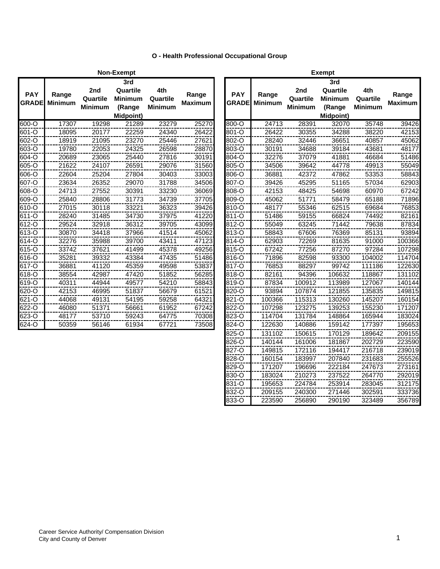|  | O - Health Professional Occupational Group |  |
|--|--------------------------------------------|--|
|  |                                            |  |

|                            |                         |                            | <b>Non-Exempt</b>                                        |                                   |                         |                            | <b>Exempt</b>           |                                   |                                                      |
|----------------------------|-------------------------|----------------------------|----------------------------------------------------------|-----------------------------------|-------------------------|----------------------------|-------------------------|-----------------------------------|------------------------------------------------------|
| <b>PAY</b><br><b>GRADE</b> | Range<br><b>Minimum</b> | 2nd<br>Quartile<br>Minimum | 3rd<br>Quartile<br><b>Minimum</b><br>(Range<br>Midpoint) | 4th<br>Quartile<br><b>Minimum</b> | Range<br><b>Maximum</b> | <b>PAY</b><br><b>GRADE</b> | Range<br><b>Minimum</b> | 2nd<br>Quartile<br><b>Minimum</b> | 3 <sub>l</sub><br>Qua<br>Miniı<br>(Ra<br><b>Midp</b> |
| 600-O                      | 17307                   | 19298                      | 21289                                                    | 23279                             | 25270                   | 800-O                      | 24713                   | 28391                             |                                                      |
| 601-O                      | 18095                   | 20177                      | 22259                                                    | 24340                             | 26422                   | 801-O                      | 26422                   | 30355                             |                                                      |
| 602-O                      | 18919                   | 21095                      | 23270                                                    | 25446                             | 27621                   | 802-O                      | 28240                   | 32446                             | 3                                                    |
| 603-O                      | 19780                   | 22053                      | 24325                                                    | 26598                             | 28870                   | 803-O                      | 30191                   | 34688                             | 3                                                    |
| 604-O                      | 20689                   | 23065                      | 25440                                                    | 27816                             | 30191                   | 804-O                      | 32276                   | 37079                             | 4                                                    |
| 605-O                      | 21622                   | 24107                      | 26591                                                    | 29076                             | 31560                   | 805-O                      | 34506                   | 39642                             | 4                                                    |
| 606-O                      | 22604                   | 25204                      | 27804                                                    | 30403                             | 33003                   | 806-O                      | 36881                   | 42372                             | 4                                                    |
| 607-O                      | 23634                   | 26352                      | 29070                                                    | 31788                             | 34506                   | 807-O                      | 39426                   | 45295                             | 5                                                    |
| 608-O                      | 24713                   | 27552                      | 30391                                                    | 33230                             | 36069                   | 808-O                      | 42153                   | 48425                             | 5                                                    |
| 609-O                      | 25840                   | 28806                      | 31773                                                    | 34739                             | 37705                   | 809-O                      | 45062                   | 51771                             | 5                                                    |
| 610-O                      | 27015                   | 30118                      | 33221                                                    | 36323                             | 39426                   | 810-O                      | 48177                   | 55346                             | 6                                                    |
| 611-O                      | 28240                   | 31485                      | 34730                                                    | 37975                             | 41220                   | 811-O                      | 51486                   | 59155                             | 6                                                    |
| 612-O                      | 29524                   | 32918                      | 36312                                                    | 39705                             | 43099                   | 812-O                      | 55049                   | 63245                             |                                                      |
| 613-O                      | 30870                   | 34418                      | 37966                                                    | 41514                             | 45062                   | 813-O                      | 58843                   | 67606                             |                                                      |
| 614-O                      | 32276                   | 35988                      | 39700                                                    | 43411                             | 47123                   | 814-O                      | 62903                   | 72269                             | 8                                                    |
| 615-O                      | 33742                   | 37621                      | 41499                                                    | 45378                             | 49256                   | 815-O                      | 67242                   | 77256                             | 8                                                    |
| 616-O                      | 35281                   | 39332                      | 43384                                                    | 47435                             | 51486                   | 816-O                      | 71896                   | 82598                             | g                                                    |
| 617-O                      | 36881                   | 41120                      | 45359                                                    | 49598                             | 53837                   | 817-O                      | 76853                   | 88297                             | g                                                    |
| 618-O                      | 38554                   | 42987                      | 47420                                                    | 51852                             | 56285                   | 818-O                      | 82161                   | 94396                             | 10                                                   |
| 619-O                      | 40311                   | 44944                      | 49577                                                    | 54210                             | 58843                   | 819-O                      | 87834                   | 100912                            | 11                                                   |
| 620-O                      | 42153                   | 46995                      | 51837                                                    | 56679                             | 61521                   | 820-O                      | 93894                   | 107874                            | 12                                                   |
| 621-O                      | 44068                   | 49131                      | 54195                                                    | 59258                             | 64321                   | 821-O                      | 100366                  | 115313                            | 13                                                   |
| 622-O                      | 46080                   | 51371                      | 56661                                                    | 61952                             | 67242                   | 822-O                      | 107298                  | 123275                            | 13                                                   |
| $623 - 0$                  | 48177                   | 53710                      | 59243                                                    | 64775                             | 70308                   | 823-O                      | 114704                  | 131784                            | 14                                                   |
| 624-O                      | 50359                   | 56146                      | 61934                                                    | 67721                             | 73508                   | 824-O                      | 122630                  | 140886                            | 15                                                   |
|                            |                         |                            |                                                          |                                   |                         |                            |                         |                                   |                                                      |

|              |                |                | Non-Exempt       |                |                |              | <b>Exempt</b>  |          |                  |                |                |  |  |
|--------------|----------------|----------------|------------------|----------------|----------------|--------------|----------------|----------|------------------|----------------|----------------|--|--|
|              |                |                | 3rd              |                |                |              |                |          | 3rd              |                |                |  |  |
| <b>PAY</b>   | Range          | 2nd            | Quartile         | 4th            | Range          | <b>PAY</b>   | Range          | 2nd      | Quartile         | 4th            | Range          |  |  |
| <b>GRADE</b> | <b>Minimum</b> | Quartile       | <b>Minimum</b>   | Quartile       | <b>Maximum</b> | <b>GRADE</b> | <b>Minimum</b> | Quartile | <b>Minimum</b>   | Quartile       | <b>Maximum</b> |  |  |
|              |                | <b>Minimum</b> | (Range           | <b>Minimum</b> |                |              |                | Minimum  | (Range           | <b>Minimum</b> |                |  |  |
|              |                |                | <b>Midpoint)</b> |                |                |              |                |          | <b>Midpoint)</b> |                |                |  |  |
| $600 - 0$    | 17307          | 19298          | 21289            | 23279          | 25270          | 800-O        | 24713          | 28391    | 32070            | 35748          | 39426          |  |  |
| 601-O        | 18095          | 20177          | 22259            | 24340          | 26422          | 801-O        | 26422          | 30355    | 34288            | 38220          | 42153          |  |  |
| 602-O        | 18919          | 21095          | 23270            | 25446          | 27621          | 802-O        | 28240          | 32446    | 36651            | 40857          | 45062          |  |  |
| $603 - O$    | 19780          | 22053          | 24325            | 26598          | 28870          | 803-O        | 30191          | 34688    | 39184            | 43681          | 48177          |  |  |
| 604-O        | 20689          | 23065          | 25440            | 27816          | 30191          | $804 - 0$    | 32276          | 37079    | 41881            | 46684          | 51486          |  |  |
| 605-O        | 21622          | 24107          | 26591            | 29076          | 31560          | 805-O        | 34506          | 39642    | 44778            | 49913          | 55049          |  |  |
| 606-O        | 22604          | 25204          | 27804            | 30403          | 33003          | 806-O        | 36881          | 42372    | 47862            | 53353          | 58843          |  |  |
| 607-O        | 23634          | 26352          | 29070            | 31788          | 34506          | 807-O        | 39426          | 45295    | 51165            | 57034          | 62903          |  |  |
| 608-O        | 24713          | 27552          | 30391            | 33230          | 36069          | 808-O        | 42153          | 48425    | 54698            | 60970          | 67242          |  |  |
| 609-O        | 25840          | 28806          | 31773            | 34739          | 37705          | 809-O        | 45062          | 51771    | 58479            | 65188          | 71896          |  |  |
| 610-O        | 27015          | 30118          | 33221            | 36323          | 39426          | 810-O        | 48177          | 55346    | 62515            | 69684          | 76853          |  |  |
| 611-O        | 28240          | 31485          | 34730            | 37975          | 41220          | 811-O        | 51486          | 59155    | 66824            | 74492          | 82161          |  |  |
| $612 - 0$    | 29524          | 32918          | 36312            | 39705          | 43099          | 812-O        | 55049          | 63245    | 71442            | 79638          | 87834          |  |  |
| 613-O        | 30870          | 34418          | 37966            | 41514          | 45062          | 813-O        | 58843          | 67606    | 76369            | 85131          | 93894          |  |  |
| 614-O        | 32276          | 35988          | 39700            | 43411          | 47123          | 814-O        | 62903          | 72269    | 81635            | 91000          | 100366         |  |  |
| 615-O        | 33742          | 37621          | 41499            | 45378          | 49256          | 815-O        | 67242          | 77256    | 87270            | 97284          | 107298         |  |  |
| 616-O        | 35281          | 39332          | 43384            | 47435          | 51486          | 816-O        | 71896          | 82598    | 93300            | 104002         | 114704         |  |  |
| $617 - O$    | 36881          | 41120          | 45359            | 49598          | 53837          | 817-O        | 76853          | 88297    | 99742            | 111186         | 122630         |  |  |
| 618-O        | 38554          | 42987          | 47420            | 51852          | 56285          | 818-O        | 82161          | 94396    | 106632           | 118867         | 131102         |  |  |
| $619 - 0$    | 40311          | 44944          | 49577            | 54210          | 58843          | 819-O        | 87834          | 100912   | 113989           | 127067         | 140144         |  |  |
| $620 - 0$    | 42153          | 46995          | 51837            | 56679          | 61521          | 820-O        | 93894          | 107874   | 121855           | 135835         | 149815         |  |  |
| 621-O        | 44068          | 49131          | 54195            | 59258          | 64321          | 821-O        | 100366         | 115313   | 130260           | 145207         | 160154         |  |  |
| 622-O        | 46080          | 51371          | 56661            | 61952          | 67242          | 822-O        | 107298         | 123275   | 139253           | 155230         | 171207         |  |  |
| $623 - 0$    | 48177          | 53710          | 59243            | 64775          | 70308          | 823-O        | 114704         | 131784   | 148864           | 165944         | 183024         |  |  |
| $624 - 0$    | 50359          | 56146          | 61934            | 67721          | 73508          | 824-O        | 122630         | 140886   | 159142           | 177397         | 195653         |  |  |
|              |                |                |                  |                |                | 825-O        | 131102         | 150615   | 170129           | 189642         | 209155         |  |  |
|              |                |                |                  |                |                | 826-O        | 140144         | 161006   | 181867           | 202729         | 223590         |  |  |
|              |                |                |                  |                |                | 827-O        | 149815         | 172116   | 194417           | 216718         | 239019         |  |  |
|              |                |                |                  |                |                | 828-O        | 160154         | 183997   | 207840           | 231683         | 255526         |  |  |
|              |                |                |                  |                |                | 829-O        | 171207         | 196696   | 222184           | 247673         | 273161         |  |  |
|              |                |                |                  |                |                | 830-O        | 183024         | 210273   | 237522           | 264770         | 292019         |  |  |
|              |                |                |                  |                |                | 831-O        | 195653         | 224784   | 253914           | 283045         | 312175         |  |  |
|              |                |                |                  |                |                | 832-O        | 209155         | 240300   | 271446           | 302591         | 333736         |  |  |
|              |                |                |                  |                |                | 833-O        | 223590         | 256890   | 290190           | 323489         | 356789         |  |  |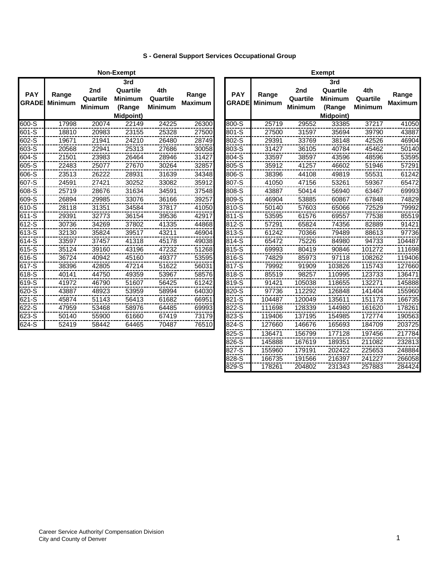# **S - General Support Services Occupational Group**

|                            |                         |                                   | Non-Exempt                                                      |                                   |                         | <b>Exempt</b>              |                         |                                   |                                                                 |                                   |                         |  |
|----------------------------|-------------------------|-----------------------------------|-----------------------------------------------------------------|-----------------------------------|-------------------------|----------------------------|-------------------------|-----------------------------------|-----------------------------------------------------------------|-----------------------------------|-------------------------|--|
| <b>PAY</b><br><b>GRADE</b> | Range<br><b>Minimum</b> | 2nd<br>Quartile<br><b>Minimum</b> | 3rd<br>Quartile<br><b>Minimum</b><br>(Range<br><b>Midpoint)</b> | 4th<br>Quartile<br><b>Minimum</b> | Range<br><b>Maximum</b> | <b>PAY</b><br><b>GRADE</b> | Range<br><b>Minimum</b> | 2nd<br>Quartile<br><b>Minimum</b> | 3rd<br>Quartile<br><b>Minimum</b><br>(Range<br><b>Midpoint)</b> | 4th<br>Quartile<br><b>Minimum</b> | Range<br><b>Maximum</b> |  |
| 600-S                      | 17998                   | 20074                             | 22149                                                           | 24225                             | 26300                   | 800-S                      | 25719                   | 29552                             | 33385                                                           | 37217                             | 41050                   |  |
| 601-S                      | 18810                   | 20983                             | 23155                                                           | 25328                             | 27500                   | 801-S                      | 27500                   | 31597                             | 35694                                                           | 39790                             | 43887                   |  |
| 602-S                      | 19671                   | 21941                             | 24210                                                           | 26480                             | 28749                   | 802-S                      | 29391                   | 33769                             | 38148                                                           | 42526                             | 46904                   |  |
| 603-S                      | 20568                   | 22941                             | 25313                                                           | 27686                             | 30058                   | 803-S                      | 31427                   | 36105                             | 40784                                                           | 45462                             | 50140                   |  |
| 604-S                      | 21501                   | 23983                             | 26464                                                           | 28946                             | 31427                   | 804-S                      | 33597                   | 38597                             | 43596                                                           | 48596                             | 53595                   |  |
| 605-S                      | 22483                   | 25077                             | 27670                                                           | 30264                             | 32857                   | 805-S                      | 35912                   | 41257                             | 46602                                                           | 51946                             | 57291                   |  |
| 606-S                      | 23513                   | 26222                             | 28931                                                           | 31639                             | 34348                   | 806-S                      | 38396                   | 44108                             | 49819                                                           | 55531                             | 61242                   |  |
| 607-S                      | 24591                   | 27421                             | 30252                                                           | 33082                             | 35912                   | 807-S                      | 41050                   | 47156                             | 53261                                                           | 59367                             | 65472                   |  |
| $608 - 5$                  | 25719                   | 28676                             | 31634                                                           | 34591                             | 37548                   | 808-S                      | 43887                   | 50414                             | 56940                                                           | 63467                             | 69993                   |  |
| 609-S                      | 26894                   | 29985                             | 33076                                                           | 36166                             | 39257                   | 809-S                      | 46904                   | 53885                             | 60867                                                           | 67848                             | 74829                   |  |
| 610-S                      | 28118                   | 31351                             | 34584                                                           | 37817                             | 41050                   | 810-S                      | 50140                   | 57603                             | 65066                                                           | 72529                             | 79992                   |  |
| 611-S                      | 29391                   | 32773                             | 36154                                                           | 39536                             | 42917                   | 811-S                      | 53595                   | 61576                             | 69557                                                           | 77538                             | 85519                   |  |
| 612-S                      | 30736                   | 34269                             | 37802                                                           | 41335                             | 44868                   | 812-S                      | 57291                   | 65824                             | 74356                                                           | 82889                             | 91421                   |  |
| 613-S                      | 32130                   | 35824                             | 39517                                                           | 43211                             | 46904                   | 813-S                      | 61242                   | 70366                             | 79489                                                           | 88613                             | 97736                   |  |
| 614-S                      | 33597                   | 37457                             | 41318                                                           | 45178                             | 49038                   | 814-S                      | 65472                   | 75226                             | 84980                                                           | 94733                             | 104487                  |  |
| 615-S                      | 35124                   | 39160                             | 43196                                                           | 47232                             | 51268                   | 815-S                      | 69993                   | 80419                             | 90846                                                           | 101272                            | 111698                  |  |
| 616-S                      | 36724                   | 40942                             | 45160                                                           | 49377                             | 53595                   | 816-S                      | 74829                   | 85973                             | 97118                                                           | 108262                            | 119406                  |  |
| 617-S                      | 38396                   | 42805                             | 47214                                                           | 51622                             | 56031                   | 817-S                      | 79992                   | 91909                             | 103826                                                          | 115743                            | 127660                  |  |
| 618-S                      | 40141                   | 44750                             | 49359                                                           | 53967                             | 58576                   | 818-S                      | 85519                   | 98257                             | 110995                                                          | 123733                            | 136471                  |  |
| 619-S                      | 41972                   | 46790                             | 51607                                                           | 56425                             | 61242                   | 819-S                      | 91421                   | 105038                            | 118655                                                          | 132271                            | 145888                  |  |
| 620-S                      | 43887                   | 48923                             | 53959                                                           | 58994                             | 64030                   | 820-S                      | 97736                   | 112292                            | 126848                                                          | 141404                            | 155960                  |  |
| 621-S                      | 45874                   | 51143                             | 56413                                                           | 61682                             | 66951                   | 821-S                      | 104487                  | 120049                            | 135611                                                          | 151173                            | 166735                  |  |
| 622-S                      | 47959                   | 53468                             | 58976                                                           | 64485                             | 69993                   | 822-S                      | 111698                  | 128339                            | 144980                                                          | 161620                            | 178261                  |  |
| 623-S                      | 50140                   | 55900                             | 61660                                                           | 67419                             | 73179                   | 823-S                      | 119406                  | 137195                            | 154985                                                          | 172774                            | 190563                  |  |
| $624 - S$                  | 52419                   | 58442                             | 64465                                                           | 70487                             | 76510                   | 824-S                      | 127660                  | 146676                            | 165693                                                          | 184709                            | 203725                  |  |
|                            |                         |                                   |                                                                 |                                   |                         |                            |                         |                                   |                                                                 |                                   |                         |  |

|              |                |                | Exempt           |                |                |
|--------------|----------------|----------------|------------------|----------------|----------------|
|              |                |                | 3rd              |                |                |
| <b>PAY</b>   | Range          | 2nd            | Quartile         | 4th            | Range          |
| <b>GRADE</b> | <b>Minimum</b> | Quartile       | <b>Minimum</b>   | Quartile       | <b>Maximum</b> |
|              |                | <b>Minimum</b> | (Range           | <b>Minimum</b> |                |
|              |                |                | <b>Midpoint)</b> |                |                |
| 800-S        | 25719          | 29552          | 33385            | 37217          | 41050          |
| 801-S        | 27500          | 31597          | 35694            | 39790          | 43887          |
| 802-S        | 29391          | 33769          | 38148            | 42526          | 46904          |
| 803-S        | 31427          | 36105          | 40784            | 45462          | 50140          |
| 804-S        | 33597          | 38597          | 43596            | 48596          | 53595          |
| 805-S        | 35912          | 41257          | 46602            | 51946          | 57291          |
| 806-S        | 38396          | 44108          | 49819            | 55531          | 61242          |
| 807-S        | 41050          | 47156          | 53261            | 59367          | 65472          |
| 808-S        | 43887          | 50414          | 56940            | 63467          | 69993          |
| 809-S        | 46904          | 53885          | 60867            | 67848          | 74829          |
| 810-S        | 50140          | 57603          | 65066            | 72529          | 79992          |
| 811-S        | 53595          | 61576          | 69557            | 77538          | 85519          |
| 812-S        | 57291          | 65824          | 74356            | 82889          | 91421          |
| 813-S        | 61242          | 70366          | 79489            | 88613          | 97736          |
| 814-S        | 65472          | 75226          | 84980            | 94733          | 104487         |
| 815-S        | 69993          | 80419          | 90846            | 101272         | 111698         |
| 816-S        | 74829          | 85973          | 97118            | 108262         | 119406         |
| 817-S        | 79992          | 91909          | 103826           | 115743         | 127660         |
| 818-S        | 85519          | 98257          | 110995           | 123733         | 136471         |
| 819-S        | 91421          | 105038         | 118655           | 132271         | 145888         |
| 820-S        | 97736          | 112292         | 126848           | 141404         | 155960         |
| 821-S        | 104487         | 120049         | 135611           | 151173         | 166735         |
| 822-S        | 111698         | 128339         | 144980           | 161620         | 178261         |
| 823-S        | 119406         | 137195         | 154985           | 172774         | 190563         |
| 824-S        | 127660         | 146676         | 165693           | 184709         | 203725         |
| 825-S        | 136471         | 156799         | 177128           | 197456         | 217784         |
| 826-S        | 145888         | 167619         | 189351           | 211082         | 232813         |
| $827 - S$    | 155960         | 179191         | 202422           | 225653         | 248884         |
| 828-S        | 166735         | 191566         | 216397           | 241227         | 266058         |
| 829-S        | 178261         | 204802         | 231343           | 257883         | 284424         |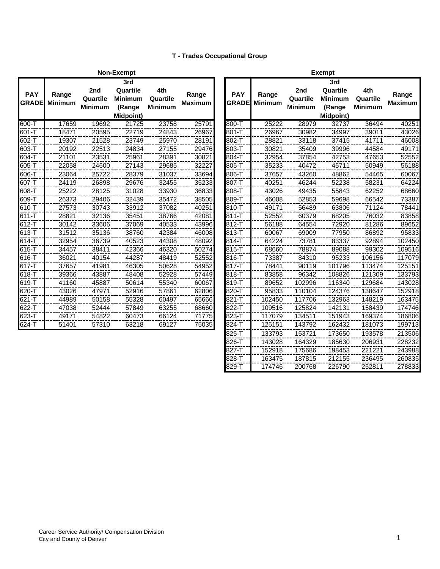## **T - Trades Occupational Group**

|                            |                         |                                   | <b>Non-Exempt</b>                                        |                                   |                         |                            |                         |                                   | <b>Exempt</b>                                       |
|----------------------------|-------------------------|-----------------------------------|----------------------------------------------------------|-----------------------------------|-------------------------|----------------------------|-------------------------|-----------------------------------|-----------------------------------------------------|
| <b>PAY</b><br><b>GRADE</b> | Range<br><b>Minimum</b> | 2nd<br>Quartile<br><b>Minimum</b> | 3rd<br>Quartile<br><b>Minimum</b><br>(Range<br>Midpoint) | 4th<br>Quartile<br><b>Minimum</b> | Range<br><b>Maximum</b> | <b>PAY</b><br><b>GRADE</b> | Range<br><b>Minimum</b> | 2nd<br>Quartile<br><b>Minimum</b> | 3 <sub>l</sub><br>Qua<br>Mini<br>(Ra<br><b>Midp</b> |
| 600-T                      | 17659                   | 19692                             | 21725                                                    | 23758                             | 25791                   | 800-T                      | 25222                   | 28979                             |                                                     |
| 601-T                      | 18471                   | 20595                             | 22719                                                    | 24843                             | 26967                   | 801-T                      | 26967                   | 30982                             | З                                                   |
| 602-T                      | 19307                   | 21528                             | 23749                                                    | 25970                             | 28191                   | 802-T                      | 28821                   | 33118                             | 3                                                   |
| 603-T                      | 20192                   | 22513                             | 24834                                                    | 27155                             | 29476                   | 803-T                      | 30821                   | 35409                             | 3                                                   |
| 604-T                      | 21101                   | 23531                             | 25961                                                    | 28391                             | 30821                   | 804-T                      | 32954                   | 37854                             | 4                                                   |
| 605-T                      | 22058                   | 24600                             | 27143                                                    | 29685                             | 32227                   | 805-T                      | 35233                   | 40472                             | 4                                                   |
| 606-T                      | 23064                   | 25722                             | 28379                                                    | 31037                             | 33694                   | 806-T                      | 37657                   | 43260                             | 4                                                   |
| 607-T                      | 24119                   | 26898                             | 29676                                                    | 32455                             | 35233                   | 807-T                      | 40251                   | 46244                             | 5                                                   |
| 608-T                      | 25222                   | 28125                             | 31028                                                    | 33930                             | 36833                   | 808-T                      | 43026                   | 49435                             | 5                                                   |
| 609-T                      | 26373                   | 29406                             | 32439                                                    | 35472                             | 38505                   | 809-T                      | 46008                   | 52853                             | 5                                                   |
| 610-T                      | 27573                   | 30743                             | 33912                                                    | 37082                             | 40251                   | 810-T                      | 49171                   | 56489                             | 6                                                   |
| 611-T                      | 28821                   | 32136                             | 35451                                                    | 38766                             | 42081                   | 811-T                      | 52552                   | 60379                             | 6                                                   |
| 612-T                      | 30142                   | 33606                             | 37069                                                    | 40533                             | 43996                   | 812-T                      | 56188                   | 64554                             |                                                     |
| 613-T                      | 31512                   | 35136                             | 38760                                                    | 42384                             | 46008                   | 813-T                      | 60067                   | 69009                             | 7                                                   |
| 614-T                      | 32954                   | 36739                             | 40523                                                    | 44308                             | 48092                   | 814-T                      | 64224                   | 73781                             | 8                                                   |
| 615-T                      | 34457                   | 38411                             | 42366                                                    | 46320                             | 50274                   | 815-T                      | 68660                   | 78874                             | 8                                                   |
| 616-T                      | 36021                   | 40154                             | 44287                                                    | 48419                             | 52552                   | 816-T                      | 73387                   | 84310                             | ċ                                                   |
| 617-T                      | 37657                   | 41981                             | 46305                                                    | 50628                             | 54952                   | 817-T                      | 78441                   | 90119                             | 10                                                  |
| 618-T                      | 39366                   | 43887                             | 48408                                                    | 52928                             | 57449                   | 818-T                      | 83858                   | 96342                             | 1 <sup>C</sup>                                      |
| 619-T                      | 41160                   | 45887                             | 50614                                                    | 55340                             | 60067                   | 819-T                      | 89652                   | 102996                            | 11                                                  |
| 620-T                      | 43026                   | 47971                             | 52916                                                    | 57861                             | 62806                   | 820-T                      | 95833                   | 110104                            | 12                                                  |
| 621-T                      | 44989                   | 50158                             | 55328                                                    | 60497                             | 65666                   | 821-T                      | 102450                  | 117706                            | 13                                                  |
| 622-T                      | 47038                   | 52444                             | 57849                                                    | 63255                             | 68660                   | 822-T                      | 109516                  | 125824                            | 14                                                  |
| 623-T                      | 49171                   | 54822                             | 60473                                                    | 66124                             | 71775                   | 823-T                      | 117079                  | 134511                            | 15                                                  |
| 624-T                      | 51401                   | 57310                             | 63218                                                    | 69127                             | 75035                   | 824-T                      | 125151                  | 143792                            | 16                                                  |
|                            |                         |                                   |                                                          |                                   |                         |                            |                         |                                   |                                                     |

|                            |                         |                                   | Non-Exempt                                                      |                                   |                         | Exempt                     |                         |                                   |                                                          |                                   |                         |  |
|----------------------------|-------------------------|-----------------------------------|-----------------------------------------------------------------|-----------------------------------|-------------------------|----------------------------|-------------------------|-----------------------------------|----------------------------------------------------------|-----------------------------------|-------------------------|--|
| <b>PAY</b><br><b>GRADE</b> | Range<br><b>Minimum</b> | 2nd<br>Quartile<br><b>Minimum</b> | 3rd<br>Quartile<br><b>Minimum</b><br>(Range<br><b>Midpoint)</b> | 4th<br>Quartile<br><b>Minimum</b> | Range<br><b>Maximum</b> | <b>PAY</b><br><b>GRADE</b> | Range<br><b>Minimum</b> | 2nd<br>Quartile<br><b>Minimum</b> | 3rd<br>Quartile<br><b>Minimum</b><br>(Range<br>Midpoint) | 4th<br>Quartile<br><b>Minimum</b> | Range<br><b>Maximum</b> |  |
| 600-T                      | 17659                   | 19692                             | 21725                                                           | 23758                             | 25791                   | 800-T                      | 25222                   | 28979                             | 32737                                                    | 36494                             | 40251                   |  |
| 601-T                      | 18471                   | 20595                             | 22719                                                           | 24843                             | 26967                   | 801-T                      | 26967                   | 30982                             | 34997                                                    | 39011                             | 43026                   |  |
| 602-T                      | 19307                   | 21528                             | 23749                                                           | 25970                             | 28191                   | 802-T                      | 28821                   | 33118                             | 37415                                                    | 41711                             | 46008                   |  |
| 603-T                      | 20192                   | 22513                             | 24834                                                           | 27155                             | 29476                   | 803-T                      | 30821                   | 35409                             | 39996                                                    | 44584                             | 49171                   |  |
| 604-T                      | 21101                   | 23531                             | 25961                                                           | 28391                             | 30821                   | 804-T                      | 32954                   | 37854                             | 42753                                                    | 47653                             | 52552                   |  |
| 605-T                      | 22058                   | 24600                             | 27143                                                           | 29685                             | 32227                   | 805-T                      | 35233                   | 40472                             | 45711                                                    | 50949                             | 56188                   |  |
| 606-T                      | 23064                   | 25722                             | 28379                                                           | 31037                             | 33694                   | 806-T                      | 37657                   | 43260                             | 48862                                                    | 54465                             | 60067                   |  |
| 607-T                      | 24119                   | 26898                             | 29676                                                           | 32455                             | 35233                   | 807-T                      | 40251                   | 46244                             | 52238                                                    | 58231                             | 64224                   |  |
| 608-T                      | 25222                   | 28125                             | 31028                                                           | 33930                             | 36833                   | 808-T                      | 43026                   | 49435                             | 55843                                                    | 62252                             | 68660                   |  |
| 609-T                      | 26373                   | 29406                             | 32439                                                           | 35472                             | 38505                   | 809-T                      | 46008                   | 52853                             | 59698                                                    | 66542                             | 73387                   |  |
| 610-T                      | 27573                   | 30743                             | 33912                                                           | 37082                             | 40251                   | 810-T                      | 49171                   | 56489                             | 63806                                                    | 71124                             | 78441                   |  |
| $611 - T$                  | 28821                   | 32136                             | 35451                                                           | 38766                             | 42081                   | $811 - T$                  | 52552                   | 60379                             | 68205                                                    | 76032                             | 83858                   |  |
| 612-T                      | 30142                   | 33606                             | 37069                                                           | 40533                             | 43996                   | 812-T                      | 56188                   | 64554                             | 72920                                                    | 81286                             | 89652                   |  |
| 613-T                      | 31512                   | 35136                             | 38760                                                           | 42384                             | 46008                   | 813-T                      | 60067                   | 69009                             | 77950                                                    | 86892                             | 95833                   |  |
| 614-T                      | 32954                   | 36739                             | 40523                                                           | 44308                             | 48092                   | 814-T                      | 64224                   | 73781                             | 83337                                                    | 92894                             | 102450                  |  |
| 615-T                      | 34457                   | 38411                             | 42366                                                           | 46320                             | 50274                   | 815-T                      | 68660                   | 78874                             | 89088                                                    | 99302                             | 109516                  |  |
| 616-T                      | 36021                   | 40154                             | 44287                                                           | 48419                             | 52552                   | 816-T                      | 73387                   | 84310                             | 95233                                                    | 106156                            | 117079                  |  |
| 617-T                      | 37657                   | 41981                             | 46305                                                           | 50628                             | 54952                   | 817-T                      | 78441                   | 90119                             | 101796                                                   | 113474                            | 125151                  |  |
| 618-T                      | 39366                   | 43887                             | 48408                                                           | 52928                             | 57449                   | 818-T                      | 83858                   | 96342                             | 108826                                                   | 121309                            | 133793                  |  |
| 619-T                      | 41160                   | 45887                             | 50614                                                           | 55340                             | 60067                   | 819-T                      | 89652                   | 102996                            | 116340                                                   | 129684                            | 143028                  |  |
| 620-T                      | 43026                   | 47971                             | 52916                                                           | 57861                             | 62806                   | 820-T                      | 95833                   | 110104                            | 124376                                                   | 138647                            | 152918                  |  |
| $621 - T$                  | 44989                   | 50158                             | 55328                                                           | 60497                             | 65666                   | 821-T                      | 102450                  | 117706                            | 132963                                                   | 148219                            | 163475                  |  |
| 622-T                      | 47038                   | 52444                             | 57849                                                           | 63255                             | 68660                   | 822-T                      | 109516                  | 125824                            | 142131                                                   | 158439                            | 174746                  |  |
| 623-T                      | 49171                   | 54822                             | 60473                                                           | 66124                             | 71775                   | 823-T                      | 117079                  | 134511                            | 151943                                                   | 169374                            | 186806                  |  |
| 624-T                      | 51401                   | 57310                             | 63218                                                           | 69127                             | 75035                   | 824-T                      | 125151                  | 143792                            | 162432                                                   | 181073                            | 199713                  |  |
|                            |                         |                                   |                                                                 |                                   |                         | 825-T                      | 133793                  | 153721                            | 173650                                                   | 193578                            | 213506                  |  |
|                            |                         |                                   |                                                                 |                                   |                         | 826-T                      | 143028                  | 164329                            | 185630                                                   | 206931                            | 228232                  |  |
|                            |                         |                                   |                                                                 |                                   |                         | 827-T                      | 152918                  | 175686                            | 198453                                                   | 221221                            | 243988                  |  |
|                            |                         |                                   |                                                                 |                                   |                         | 828-T                      | 163475                  | 187815                            | 212155                                                   | 236495                            | 260835                  |  |
|                            |                         |                                   |                                                                 |                                   |                         | 829-T                      | 174746                  | 200768                            | 226790                                                   | 252811                            | 278833                  |  |